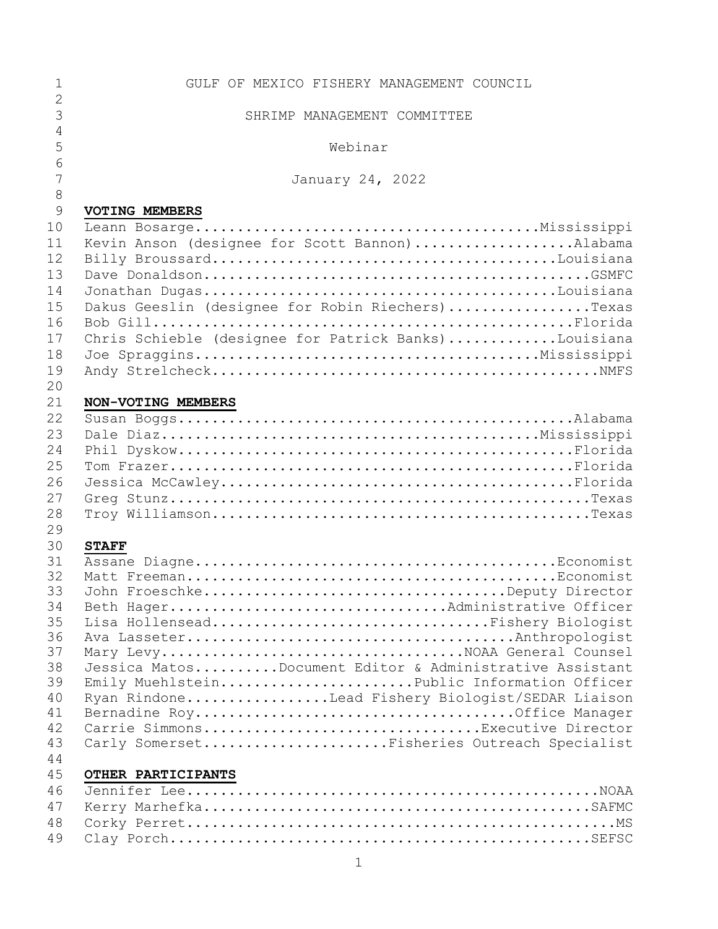| 1              | GULF OF MEXICO FISHERY MANAGEMENT COUNCIL               |
|----------------|---------------------------------------------------------|
| $\overline{2}$ |                                                         |
| 3              | SHRIMP MANAGEMENT COMMITTEE                             |
| 4              |                                                         |
| 5              | Webinar                                                 |
| 6              |                                                         |
| $\overline{7}$ | January 24, 2022                                        |
| $\,8\,$        |                                                         |
| 9              | <b>VOTING MEMBERS</b>                                   |
| 10             |                                                         |
| 11             | Kevin Anson (designee for Scott Bannon)Alabama          |
| 12             |                                                         |
| 13             |                                                         |
| 14             |                                                         |
| 15             | Dakus Geeslin (designee for Robin Riechers)Texas        |
| 16             |                                                         |
| 17             | Chris Schieble (designee for Patrick Banks)Louisiana    |
| 18             |                                                         |
| 19             |                                                         |
| 20             |                                                         |
| 21             | NON-VOTING MEMBERS                                      |
| 22             |                                                         |
| 23             |                                                         |
| 24             |                                                         |
| 25             |                                                         |
| 26             |                                                         |
| 27             |                                                         |
| 28             |                                                         |
| 29             |                                                         |
| 30             | <b>STAFF</b>                                            |
| 31             |                                                         |
| 32             |                                                         |
| 33             | John FroeschkeDeputy Director                           |
| 34             | Beth HagerAdministrative Officer                        |
| 35             | Lisa HollenseadFishery Biologist                        |
| 36             |                                                         |
| 37             |                                                         |
| 38             | Jessica MatosDocument Editor & Administrative Assistant |
| 39             | Emily MuehlsteinPublic Information Officer              |
| 40             | Ryan RindoneLead Fishery Biologist/SEDAR Liaison        |
| 41             |                                                         |
| 42             | Carrie SimmonsExecutive Director                        |
| 43             | Carly SomersetFisheries Outreach Specialist             |
| 44             |                                                         |
| 45             | OTHER PARTICIPANTS                                      |
| 46             |                                                         |
| 47             |                                                         |
| 48             |                                                         |
| 49             |                                                         |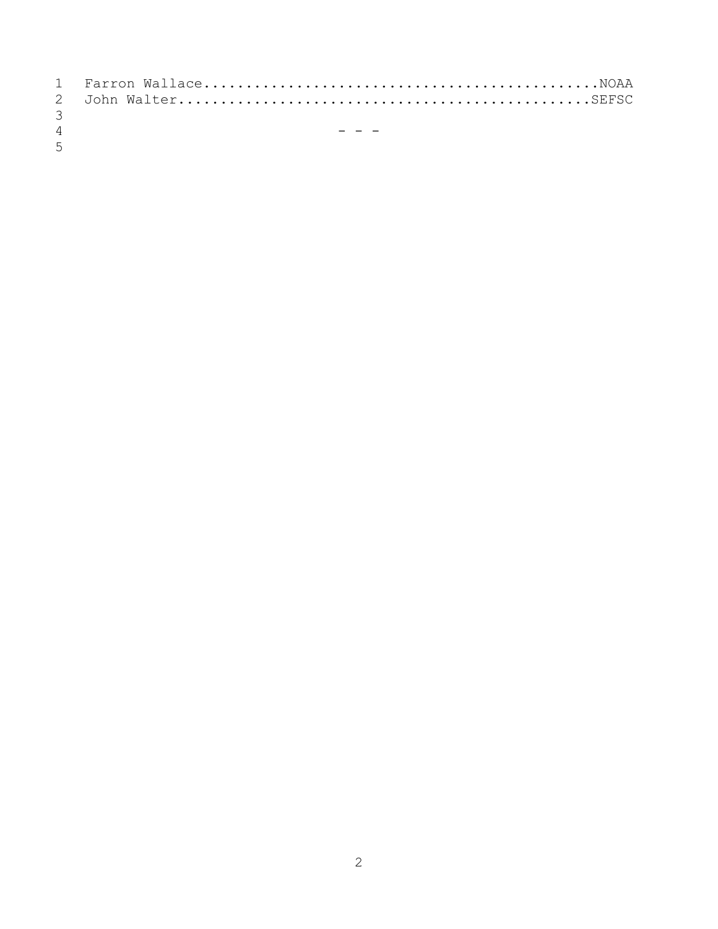| $\mathcal{B}$  |                                         |  |
|----------------|-----------------------------------------|--|
| $\overline{4}$ | and the contract of the contract of the |  |

 $\overline{5}$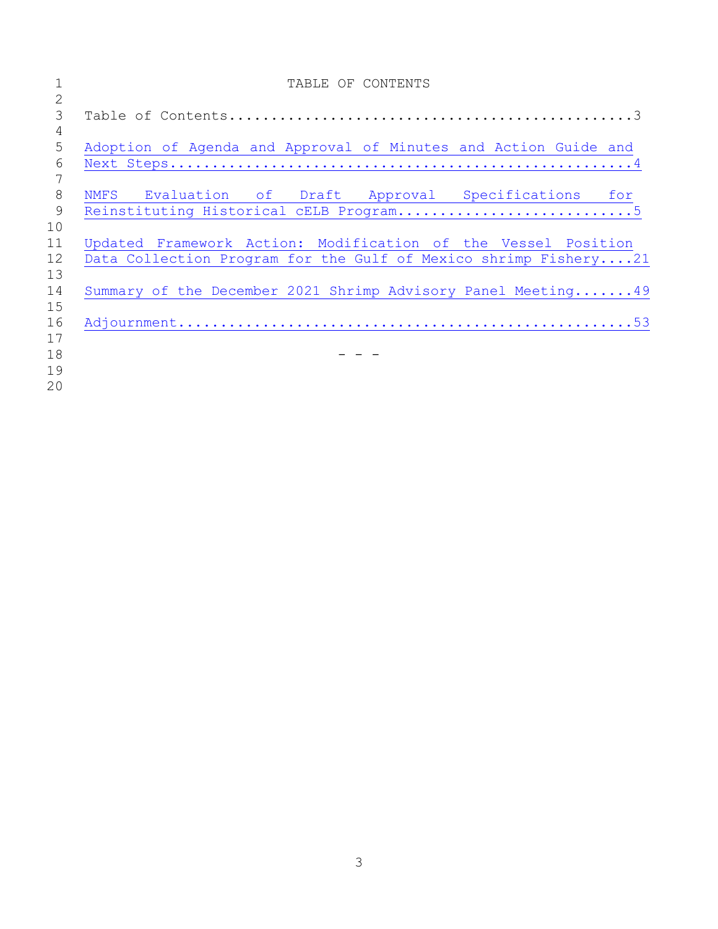|              | TABLE OF CONTENTS                                               |
|--------------|-----------------------------------------------------------------|
| $\mathbf{2}$ |                                                                 |
| 3            |                                                                 |
| 4            |                                                                 |
| 5            | Adoption of Agenda and Approval of Minutes and Action Guide and |
| 6            |                                                                 |
|              |                                                                 |
| 8            | NMFS Evaluation of Draft Approval Specifications for            |
| 9            |                                                                 |
| 10           |                                                                 |
| 11           | Updated Framework Action: Modification of the Vessel Position   |
| 12           | Data Collection Program for the Gulf of Mexico shrimp Fishery21 |
| 13           |                                                                 |
| 14           | Summary of the December 2021 Shrimp Advisory Panel Meeting 49   |
| 15           |                                                                 |
| 16           |                                                                 |
| 17           |                                                                 |
| 18           |                                                                 |
| 19           |                                                                 |
| 20           |                                                                 |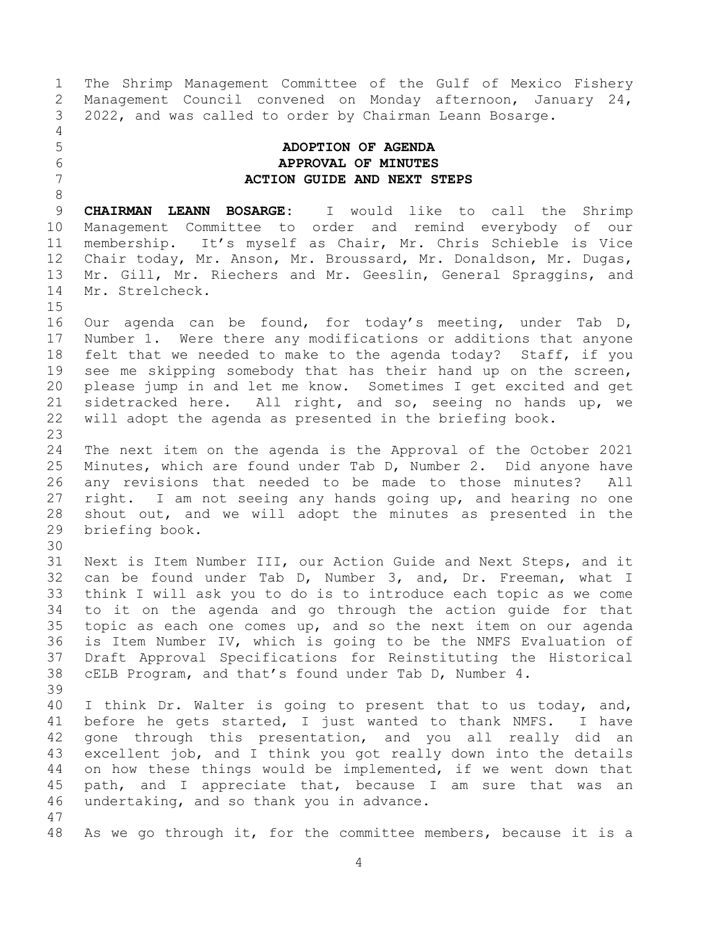<span id="page-3-0"></span> The Shrimp Management Committee of the Gulf of Mexico Fishery Management Council convened on Monday afternoon, January 24, 2022, and was called to order by Chairman Leann Bosarge. **ADOPTION OF AGENDA APPROVAL OF MINUTES ACTION GUIDE AND NEXT STEPS CHAIRMAN LEANN BOSARGE:** I would like to call the Shrimp Management Committee to order and remind everybody of our membership. It's myself as Chair, Mr. Chris Schieble is Vice Chair today, Mr. Anson, Mr. Broussard, Mr. Donaldson, Mr. Dugas, Mr. Gill, Mr. Riechers and Mr. Geeslin, General Spraggins, and Mr. Strelcheck. Our agenda can be found, for today's meeting, under Tab D, Number 1. Were there any modifications or additions that anyone felt that we needed to make to the agenda today? Staff, if you see me skipping somebody that has their hand up on the screen, please jump in and let me know. Sometimes I get excited and get sidetracked here. All right, and so, seeing no hands up, we will adopt the agenda as presented in the briefing book. The next item on the agenda is the Approval of the October 2021 Minutes, which are found under Tab D, Number 2. Did anyone have any revisions that needed to be made to those minutes? All right. I am not seeing any hands going up, and hearing no one shout out, and we will adopt the minutes as presented in the briefing book. Next is Item Number III, our Action Guide and Next Steps, and it can be found under Tab D, Number 3, and, Dr. Freeman, what I think I will ask you to do is to introduce each topic as we come to it on the agenda and go through the action guide for that topic as each one comes up, and so the next item on our agenda is Item Number IV, which is going to be the NMFS Evaluation of Draft Approval Specifications for Reinstituting the Historical cELB Program, and that's found under Tab D, Number 4. I think Dr. Walter is going to present that to us today, and, before he gets started, I just wanted to thank NMFS. I have gone through this presentation, and you all really did an excellent job, and I think you got really down into the details on how these things would be implemented, if we went down that path, and I appreciate that, because I am sure that was an undertaking, and so thank you in advance. As we go through it, for the committee members, because it is a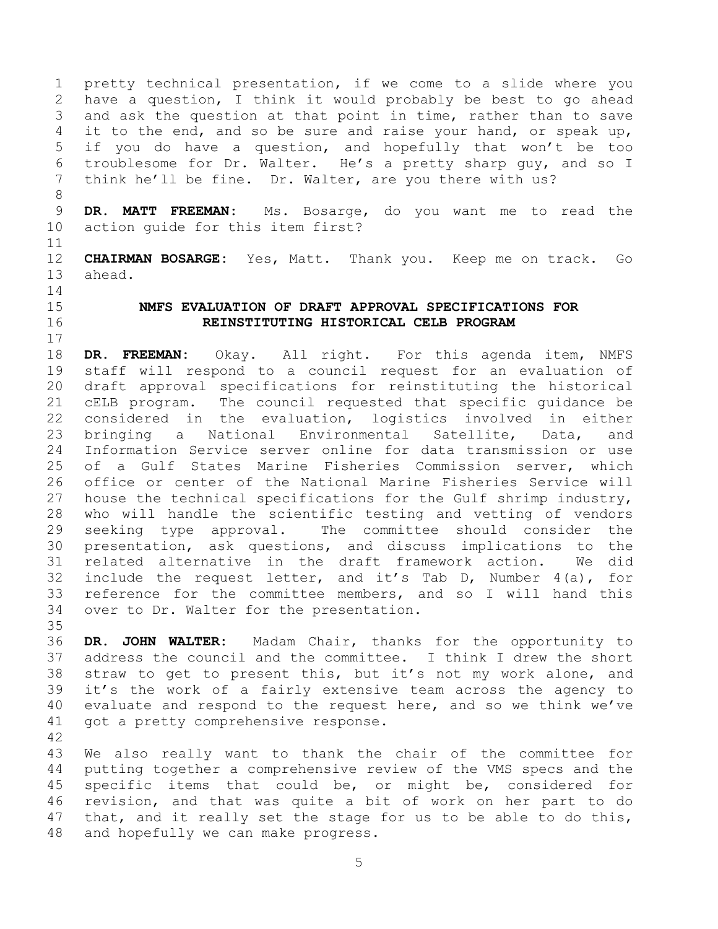pretty technical presentation, if we come to a slide where you have a question, I think it would probably be best to go ahead and ask the question at that point in time, rather than to save it to the end, and so be sure and raise your hand, or speak up, if you do have a question, and hopefully that won't be too troublesome for Dr. Walter. He's a pretty sharp guy, and so I think he'll be fine. Dr. Walter, are you there with us?

 **DR. MATT FREEMAN:** Ms. Bosarge, do you want me to read the action guide for this item first?

 **CHAIRMAN BOSARGE:** Yes, Matt. Thank you. Keep me on track. Go ahead. 

<span id="page-4-0"></span>

## **NMFS EVALUATION OF DRAFT APPROVAL SPECIFICATIONS FOR REINSTITUTING HISTORICAL CELB PROGRAM**

 **DR. FREEMAN:** Okay. All right. For this agenda item, NMFS staff will respond to a council request for an evaluation of draft approval specifications for reinstituting the historical cELB program. The council requested that specific guidance be considered in the evaluation, logistics involved in either bringing a National Environmental Satellite, Data, and Information Service server online for data transmission or use of a Gulf States Marine Fisheries Commission server, which office or center of the National Marine Fisheries Service will house the technical specifications for the Gulf shrimp industry, who will handle the scientific testing and vetting of vendors seeking type approval. The committee should consider the presentation, ask questions, and discuss implications to the related alternative in the draft framework action. We did include the request letter, and it's Tab D, Number 4(a), for reference for the committee members, and so I will hand this over to Dr. Walter for the presentation.

 **DR. JOHN WALTER:** Madam Chair, thanks for the opportunity to address the council and the committee. I think I drew the short straw to get to present this, but it's not my work alone, and it's the work of a fairly extensive team across the agency to evaluate and respond to the request here, and so we think we've got a pretty comprehensive response.

 We also really want to thank the chair of the committee for putting together a comprehensive review of the VMS specs and the specific items that could be, or might be, considered for revision, and that was quite a bit of work on her part to do that, and it really set the stage for us to be able to do this, and hopefully we can make progress.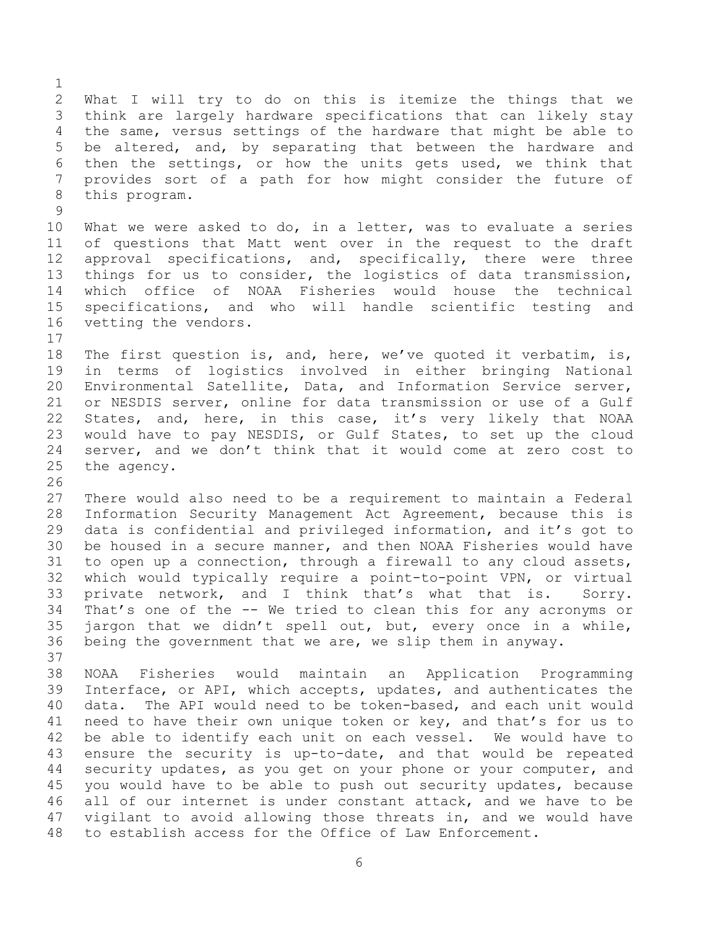What I will try to do on this is itemize the things that we think are largely hardware specifications that can likely stay the same, versus settings of the hardware that might be able to be altered, and, by separating that between the hardware and then the settings, or how the units gets used, we think that provides sort of a path for how might consider the future of this program. What we were asked to do, in a letter, was to evaluate a series of questions that Matt went over in the request to the draft 12 approval specifications, and, specifically, there were three things for us to consider, the logistics of data transmission, which office of NOAA Fisheries would house the technical specifications, and who will handle scientific testing and vetting the vendors. The first question is, and, here, we've quoted it verbatim, is, in terms of logistics involved in either bringing National Environmental Satellite, Data, and Information Service server, or NESDIS server, online for data transmission or use of a Gulf States, and, here, in this case, it's very likely that NOAA would have to pay NESDIS, or Gulf States, to set up the cloud server, and we don't think that it would come at zero cost to the agency. There would also need to be a requirement to maintain a Federal Information Security Management Act Agreement, because this is data is confidential and privileged information, and it's got to be housed in a secure manner, and then NOAA Fisheries would have to open up a connection, through a firewall to any cloud assets, which would typically require a point-to-point VPN, or virtual private network, and I think that's what that is. Sorry. That's one of the -- We tried to clean this for any acronyms or jargon that we didn't spell out, but, every once in a while, being the government that we are, we slip them in anyway. NOAA Fisheries would maintain an Application Programming Interface, or API, which accepts, updates, and authenticates the data. The API would need to be token-based, and each unit would need to have their own unique token or key, and that's for us to be able to identify each unit on each vessel. We would have to ensure the security is up-to-date, and that would be repeated 44 security updates, as you get on your phone or your computer, and

 you would have to be able to push out security updates, because all of our internet is under constant attack, and we have to be vigilant to avoid allowing those threats in, and we would have to establish access for the Office of Law Enforcement.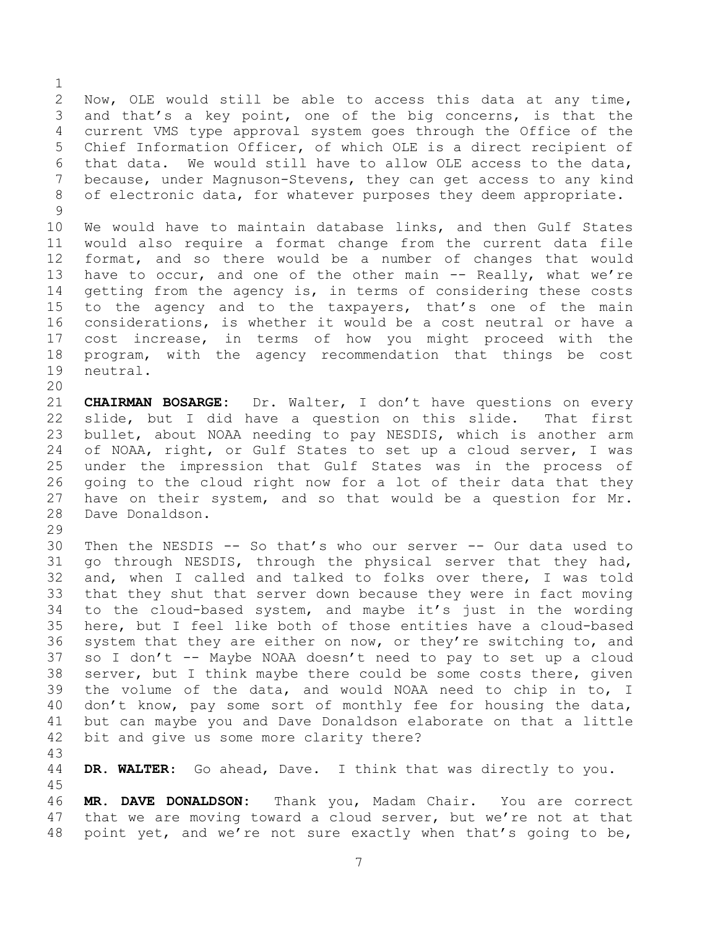Now, OLE would still be able to access this data at any time, and that's a key point, one of the big concerns, is that the current VMS type approval system goes through the Office of the Chief Information Officer, of which OLE is a direct recipient of that data. We would still have to allow OLE access to the data, because, under Magnuson-Stevens, they can get access to any kind of electronic data, for whatever purposes they deem appropriate. 

 We would have to maintain database links, and then Gulf States would also require a format change from the current data file format, and so there would be a number of changes that would have to occur, and one of the other main -- Really, what we're getting from the agency is, in terms of considering these costs to the agency and to the taxpayers, that's one of the main considerations, is whether it would be a cost neutral or have a cost increase, in terms of how you might proceed with the program, with the agency recommendation that things be cost neutral.

 **CHAIRMAN BOSARGE:** Dr. Walter, I don't have questions on every slide, but I did have a question on this slide. That first bullet, about NOAA needing to pay NESDIS, which is another arm of NOAA, right, or Gulf States to set up a cloud server, I was under the impression that Gulf States was in the process of going to the cloud right now for a lot of their data that they have on their system, and so that would be a question for Mr. Dave Donaldson.

 Then the NESDIS -- So that's who our server -- Our data used to go through NESDIS, through the physical server that they had, and, when I called and talked to folks over there, I was told that they shut that server down because they were in fact moving to the cloud-based system, and maybe it's just in the wording here, but I feel like both of those entities have a cloud-based system that they are either on now, or they're switching to, and so I don't -- Maybe NOAA doesn't need to pay to set up a cloud server, but I think maybe there could be some costs there, given the volume of the data, and would NOAA need to chip in to, I don't know, pay some sort of monthly fee for housing the data, but can maybe you and Dave Donaldson elaborate on that a little bit and give us some more clarity there? 

**DR. WALTER**: Go ahead, Dave. I think that was directly to you.

 **MR. DAVE DONALDSON:** Thank you, Madam Chair. You are correct that we are moving toward a cloud server, but we're not at that point yet, and we're not sure exactly when that's going to be,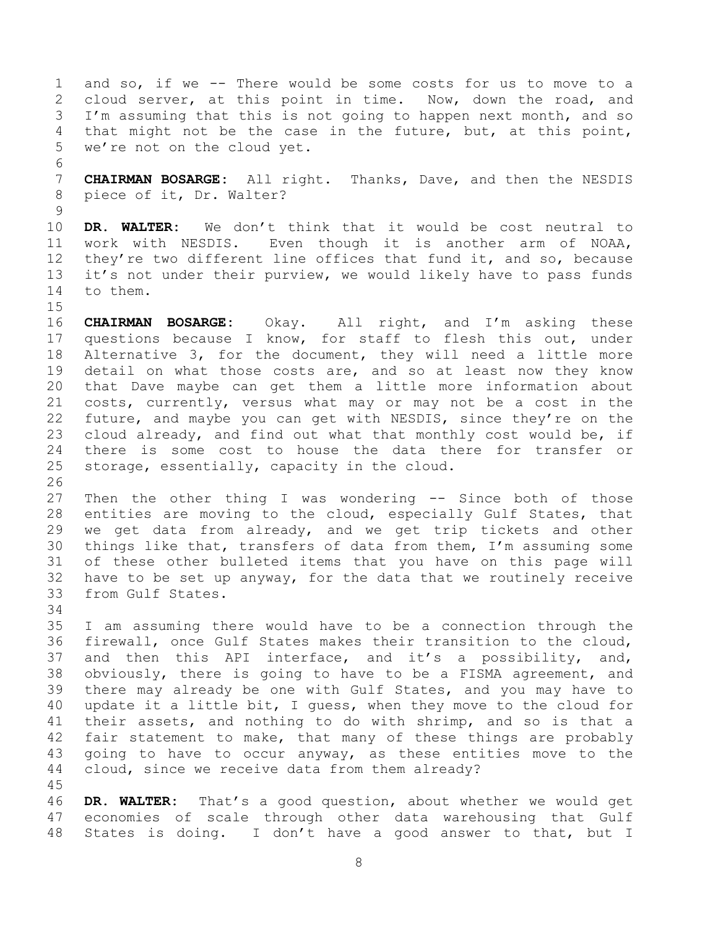and so, if we -- There would be some costs for us to move to a cloud server, at this point in time. Now, down the road, and I'm assuming that this is not going to happen next month, and so that might not be the case in the future, but, at this point, we're not on the cloud yet. 

 **CHAIRMAN BOSARGE:** All right. Thanks, Dave, and then the NESDIS piece of it, Dr. Walter?

 **DR. WALTER:** We don't think that it would be cost neutral to work with NESDIS. Even though it is another arm of NOAA, 12 they're two different line offices that fund it, and so, because it's not under their purview, we would likely have to pass funds to them.

 **CHAIRMAN BOSARGE:** Okay. All right, and I'm asking these questions because I know, for staff to flesh this out, under Alternative 3, for the document, they will need a little more detail on what those costs are, and so at least now they know that Dave maybe can get them a little more information about costs, currently, versus what may or may not be a cost in the future, and maybe you can get with NESDIS, since they're on the cloud already, and find out what that monthly cost would be, if there is some cost to house the data there for transfer or storage, essentially, capacity in the cloud.

 Then the other thing I was wondering -- Since both of those entities are moving to the cloud, especially Gulf States, that we get data from already, and we get trip tickets and other things like that, transfers of data from them, I'm assuming some of these other bulleted items that you have on this page will have to be set up anyway, for the data that we routinely receive from Gulf States.

 I am assuming there would have to be a connection through the firewall, once Gulf States makes their transition to the cloud, and then this API interface, and it's a possibility, and, obviously, there is going to have to be a FISMA agreement, and there may already be one with Gulf States, and you may have to update it a little bit, I guess, when they move to the cloud for their assets, and nothing to do with shrimp, and so is that a fair statement to make, that many of these things are probably going to have to occur anyway, as these entities move to the cloud, since we receive data from them already?

 **DR. WALTER:** That's a good question, about whether we would get economies of scale through other data warehousing that Gulf States is doing. I don't have a good answer to that, but I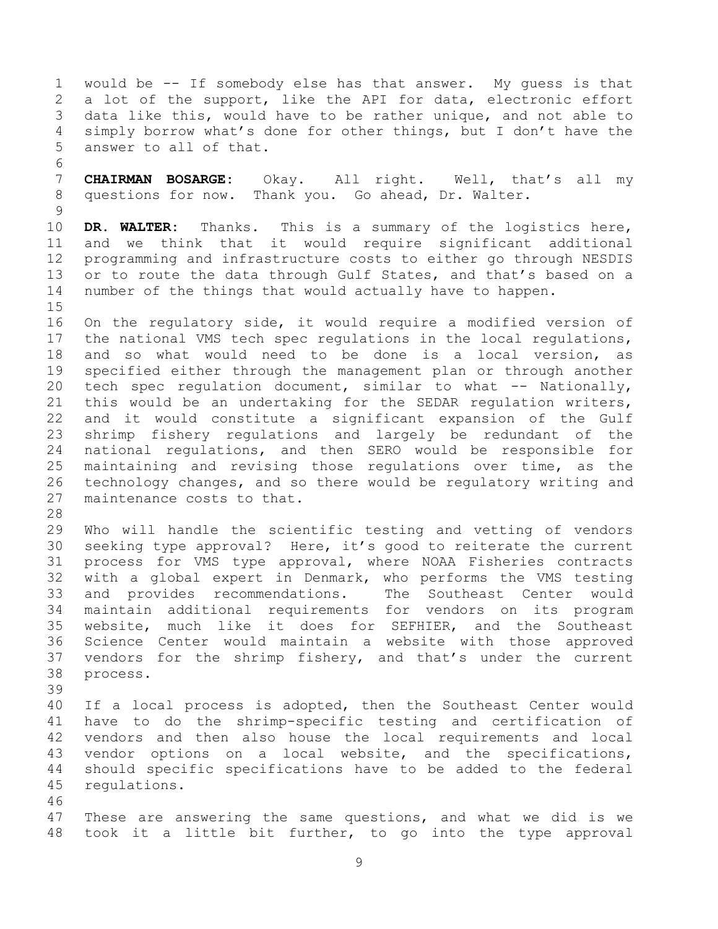would be -- If somebody else has that answer. My guess is that a lot of the support, like the API for data, electronic effort data like this, would have to be rather unique, and not able to simply borrow what's done for other things, but I don't have the answer to all of that. 

 **CHAIRMAN BOSARGE:** Okay. All right. Well, that's all my questions for now. Thank you. Go ahead, Dr. Walter.

 **DR. WALTER:** Thanks. This is a summary of the logistics here, and we think that it would require significant additional programming and infrastructure costs to either go through NESDIS 13 or to route the data through Gulf States, and that's based on a number of the things that would actually have to happen.

 On the regulatory side, it would require a modified version of the national VMS tech spec regulations in the local regulations, and so what would need to be done is a local version, as specified either through the management plan or through another tech spec regulation document, similar to what -- Nationally, this would be an undertaking for the SEDAR regulation writers, and it would constitute a significant expansion of the Gulf shrimp fishery regulations and largely be redundant of the national regulations, and then SERO would be responsible for maintaining and revising those regulations over time, as the technology changes, and so there would be regulatory writing and maintenance costs to that.

 Who will handle the scientific testing and vetting of vendors seeking type approval? Here, it's good to reiterate the current process for VMS type approval, where NOAA Fisheries contracts with a global expert in Denmark, who performs the VMS testing and provides recommendations. The Southeast Center would maintain additional requirements for vendors on its program website, much like it does for SEFHIER, and the Southeast Science Center would maintain a website with those approved vendors for the shrimp fishery, and that's under the current process.

 If a local process is adopted, then the Southeast Center would have to do the shrimp-specific testing and certification of vendors and then also house the local requirements and local vendor options on a local website, and the specifications, should specific specifications have to be added to the federal regulations.

 These are answering the same questions, and what we did is we took it a little bit further, to go into the type approval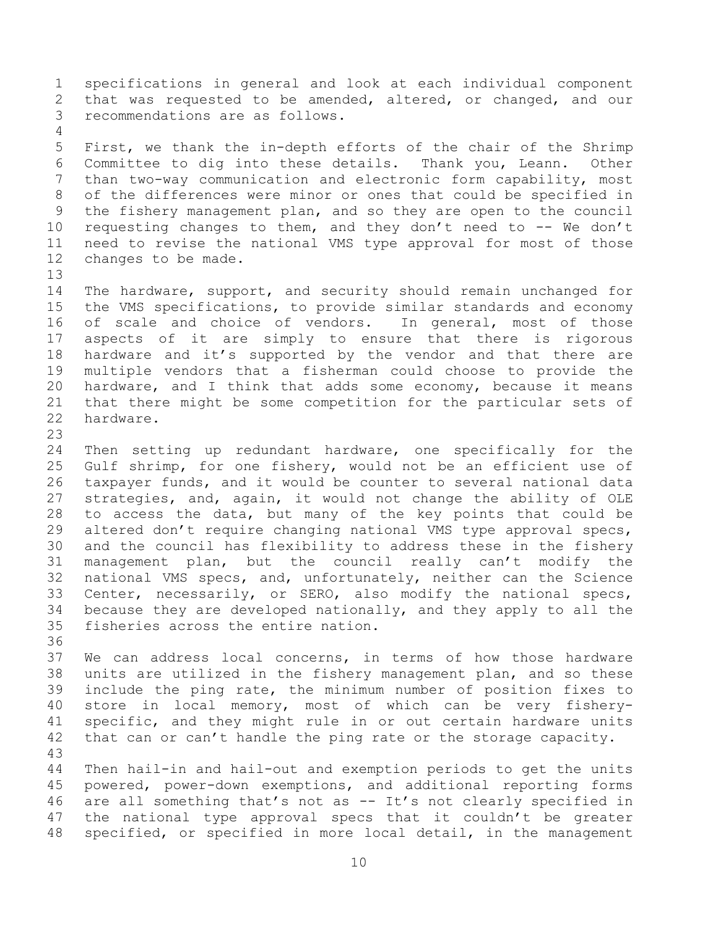specifications in general and look at each individual component that was requested to be amended, altered, or changed, and our recommendations are as follows.

 First, we thank the in-depth efforts of the chair of the Shrimp Committee to dig into these details. Thank you, Leann. Other than two-way communication and electronic form capability, most of the differences were minor or ones that could be specified in the fishery management plan, and so they are open to the council requesting changes to them, and they don't need to -- We don't need to revise the national VMS type approval for most of those changes to be made.

 The hardware, support, and security should remain unchanged for the VMS specifications, to provide similar standards and economy of scale and choice of vendors. In general, most of those aspects of it are simply to ensure that there is rigorous hardware and it's supported by the vendor and that there are multiple vendors that a fisherman could choose to provide the hardware, and I think that adds some economy, because it means that there might be some competition for the particular sets of hardware.

 Then setting up redundant hardware, one specifically for the Gulf shrimp, for one fishery, would not be an efficient use of taxpayer funds, and it would be counter to several national data strategies, and, again, it would not change the ability of OLE to access the data, but many of the key points that could be 29 altered don't require changing national VMS type approval specs, and the council has flexibility to address these in the fishery management plan, but the council really can't modify the national VMS specs, and, unfortunately, neither can the Science Center, necessarily, or SERO, also modify the national specs, because they are developed nationally, and they apply to all the fisheries across the entire nation.

 We can address local concerns, in terms of how those hardware units are utilized in the fishery management plan, and so these include the ping rate, the minimum number of position fixes to store in local memory, most of which can be very fishery- specific, and they might rule in or out certain hardware units that can or can't handle the ping rate or the storage capacity.

 Then hail-in and hail-out and exemption periods to get the units powered, power-down exemptions, and additional reporting forms are all something that's not as -- It's not clearly specified in the national type approval specs that it couldn't be greater specified, or specified in more local detail, in the management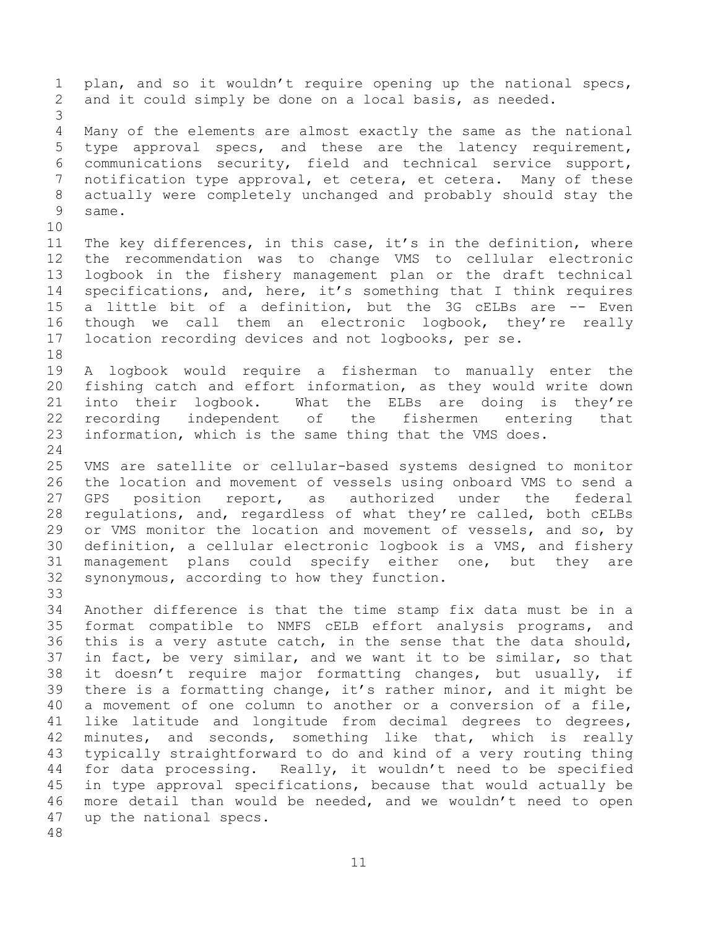plan, and so it wouldn't require opening up the national specs, and it could simply be done on a local basis, as needed. Many of the elements are almost exactly the same as the national type approval specs, and these are the latency requirement, communications security, field and technical service support, notification type approval, et cetera, et cetera. Many of these actually were completely unchanged and probably should stay the same. The key differences, in this case, it's in the definition, where the recommendation was to change VMS to cellular electronic logbook in the fishery management plan or the draft technical specifications, and, here, it's something that I think requires a little bit of a definition, but the 3G cELBs are -- Even though we call them an electronic logbook, they're really location recording devices and not logbooks, per se. A logbook would require a fisherman to manually enter the fishing catch and effort information, as they would write down into their logbook. What the ELBs are doing is they're recording independent of the fishermen entering that information, which is the same thing that the VMS does. VMS are satellite or cellular-based systems designed to monitor the location and movement of vessels using onboard VMS to send a GPS position report, as authorized under the federal regulations, and, regardless of what they're called, both cELBs or VMS monitor the location and movement of vessels, and so, by definition, a cellular electronic logbook is a VMS, and fishery management plans could specify either one, but they are synonymous, according to how they function. Another difference is that the time stamp fix data must be in a format compatible to NMFS cELB effort analysis programs, and this is a very astute catch, in the sense that the data should, in fact, be very similar, and we want it to be similar, so that it doesn't require major formatting changes, but usually, if there is a formatting change, it's rather minor, and it might be a movement of one column to another or a conversion of a file, like latitude and longitude from decimal degrees to degrees, minutes, and seconds, something like that, which is really typically straightforward to do and kind of a very routing thing for data processing. Really, it wouldn't need to be specified in type approval specifications, because that would actually be more detail than would be needed, and we wouldn't need to open up the national specs.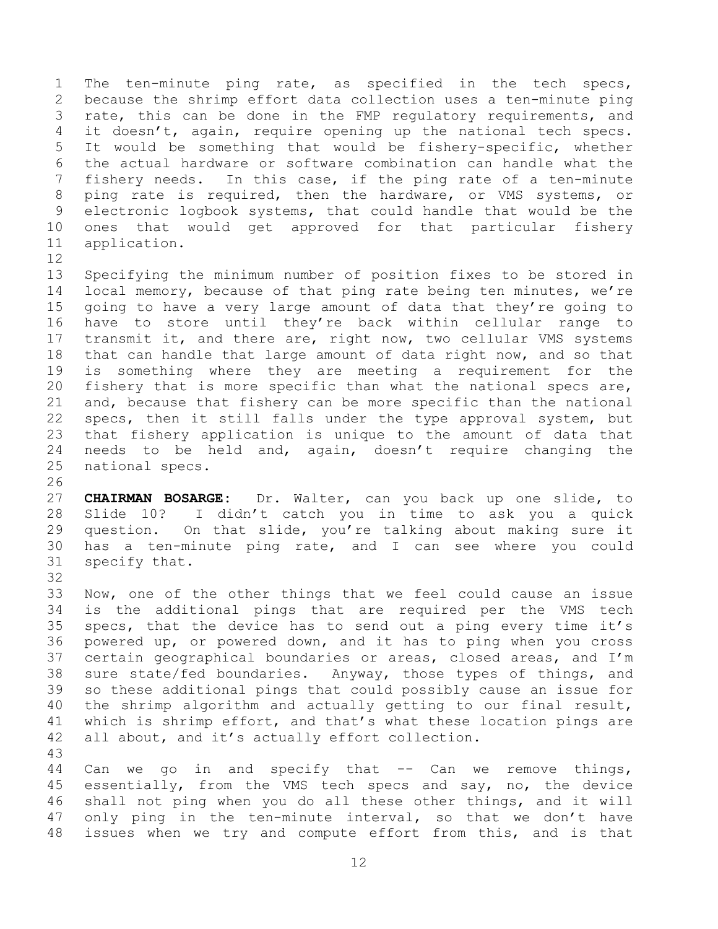The ten-minute ping rate, as specified in the tech specs, because the shrimp effort data collection uses a ten-minute ping rate, this can be done in the FMP regulatory requirements, and it doesn't, again, require opening up the national tech specs. It would be something that would be fishery-specific, whether the actual hardware or software combination can handle what the fishery needs. In this case, if the ping rate of a ten-minute ping rate is required, then the hardware, or VMS systems, or electronic logbook systems, that could handle that would be the ones that would get approved for that particular fishery application.

 Specifying the minimum number of position fixes to be stored in 14 local memory, because of that ping rate being ten minutes, we're going to have a very large amount of data that they're going to have to store until they're back within cellular range to transmit it, and there are, right now, two cellular VMS systems that can handle that large amount of data right now, and so that is something where they are meeting a requirement for the fishery that is more specific than what the national specs are, and, because that fishery can be more specific than the national specs, then it still falls under the type approval system, but that fishery application is unique to the amount of data that needs to be held and, again, doesn't require changing the national specs.

 **CHAIRMAN BOSARGE:** Dr. Walter, can you back up one slide, to Slide 10? I didn't catch you in time to ask you a quick question. On that slide, you're talking about making sure it has a ten-minute ping rate, and I can see where you could specify that.

 Now, one of the other things that we feel could cause an issue is the additional pings that are required per the VMS tech specs, that the device has to send out a ping every time it's powered up, or powered down, and it has to ping when you cross certain geographical boundaries or areas, closed areas, and I'm sure state/fed boundaries. Anyway, those types of things, and so these additional pings that could possibly cause an issue for the shrimp algorithm and actually getting to our final result, which is shrimp effort, and that's what these location pings are all about, and it's actually effort collection. 

44 Can we go in and specify that -- Can we remove things, essentially, from the VMS tech specs and say, no, the device shall not ping when you do all these other things, and it will 47 only ping in the ten-minute interval, so that we don't have issues when we try and compute effort from this, and is that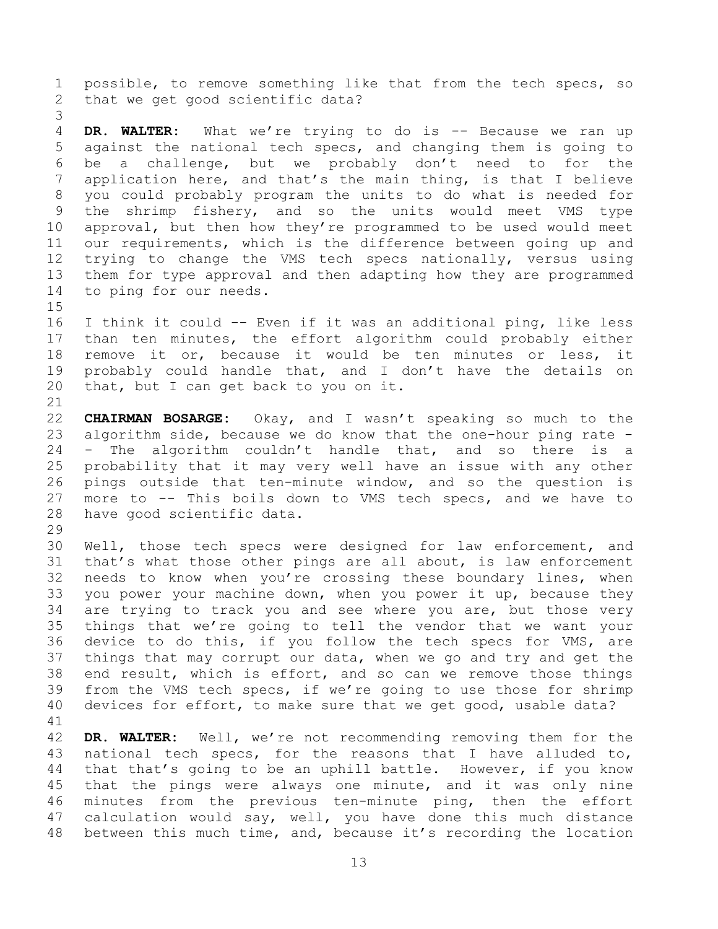possible, to remove something like that from the tech specs, so that we get good scientific data?

 **DR. WALTER:** What we're trying to do is -- Because we ran up against the national tech specs, and changing them is going to be a challenge, but we probably don't need to for the application here, and that's the main thing, is that I believe you could probably program the units to do what is needed for the shrimp fishery, and so the units would meet VMS type approval, but then how they're programmed to be used would meet our requirements, which is the difference between going up and trying to change the VMS tech specs nationally, versus using them for type approval and then adapting how they are programmed to ping for our needs.

 I think it could -- Even if it was an additional ping, like less than ten minutes, the effort algorithm could probably either remove it or, because it would be ten minutes or less, it probably could handle that, and I don't have the details on that, but I can get back to you on it.

 **CHAIRMAN BOSARGE:** Okay, and I wasn't speaking so much to the algorithm side, because we do know that the one-hour ping rate - - The algorithm couldn't handle that, and so there is a probability that it may very well have an issue with any other pings outside that ten-minute window, and so the question is more to -- This boils down to VMS tech specs, and we have to have good scientific data.

 Well, those tech specs were designed for law enforcement, and that's what those other pings are all about, is law enforcement needs to know when you're crossing these boundary lines, when you power your machine down, when you power it up, because they are trying to track you and see where you are, but those very things that we're going to tell the vendor that we want your device to do this, if you follow the tech specs for VMS, are things that may corrupt our data, when we go and try and get the end result, which is effort, and so can we remove those things from the VMS tech specs, if we're going to use those for shrimp devices for effort, to make sure that we get good, usable data?

 **DR. WALTER:** Well, we're not recommending removing them for the national tech specs, for the reasons that I have alluded to, that that's going to be an uphill battle. However, if you know that the pings were always one minute, and it was only nine minutes from the previous ten-minute ping, then the effort calculation would say, well, you have done this much distance between this much time, and, because it's recording the location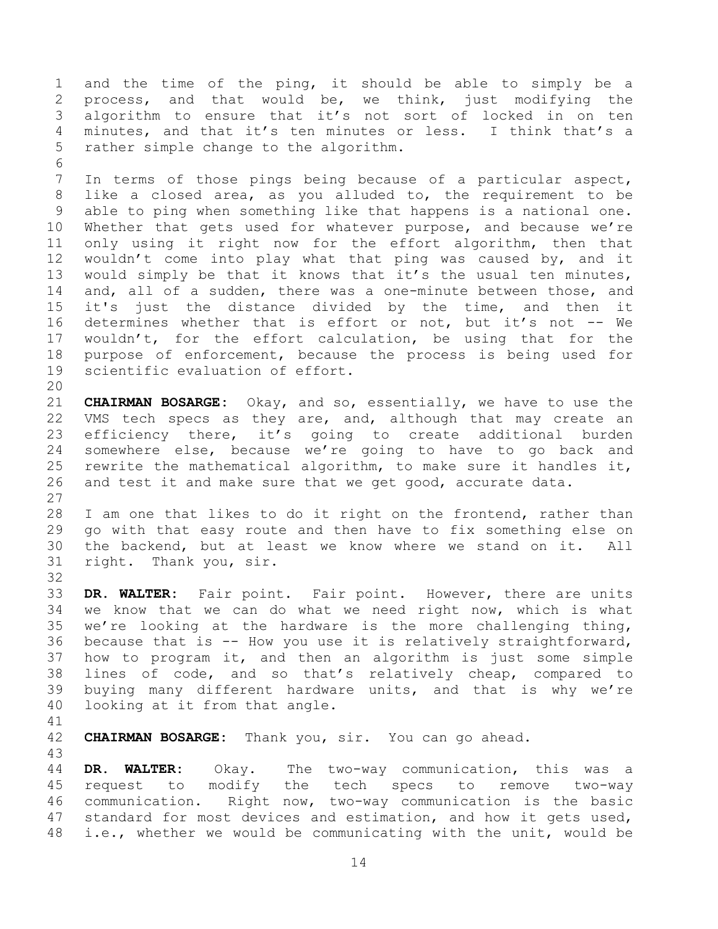and the time of the ping, it should be able to simply be a process, and that would be, we think, just modifying the algorithm to ensure that it's not sort of locked in on ten minutes, and that it's ten minutes or less. I think that's a rather simple change to the algorithm. 

 In terms of those pings being because of a particular aspect, like a closed area, as you alluded to, the requirement to be able to ping when something like that happens is a national one. Whether that gets used for whatever purpose, and because we're only using it right now for the effort algorithm, then that wouldn't come into play what that ping was caused by, and it would simply be that it knows that it's the usual ten minutes, and, all of a sudden, there was a one-minute between those, and it's just the distance divided by the time, and then it determines whether that is effort or not, but it's not -- We wouldn't, for the effort calculation, be using that for the purpose of enforcement, because the process is being used for scientific evaluation of effort. 

 **CHAIRMAN BOSARGE:** Okay, and so, essentially, we have to use the 22 VMS tech specs as they are, and, although that may create an efficiency there, it's going to create additional burden somewhere else, because we're going to have to go back and rewrite the mathematical algorithm, to make sure it handles it, and test it and make sure that we get good, accurate data. 

 I am one that likes to do it right on the frontend, rather than go with that easy route and then have to fix something else on the backend, but at least we know where we stand on it. All right. Thank you, sir.

 **DR. WALTER:** Fair point. Fair point. However, there are units we know that we can do what we need right now, which is what we're looking at the hardware is the more challenging thing, because that is -- How you use it is relatively straightforward, how to program it, and then an algorithm is just some simple lines of code, and so that's relatively cheap, compared to buying many different hardware units, and that is why we're looking at it from that angle.

**CHAIRMAN BOSARGE:** Thank you, sir. You can go ahead.

 **DR. WALTER:** Okay. The two-way communication, this was a request to modify the tech specs to remove two-way communication. Right now, two-way communication is the basic standard for most devices and estimation, and how it gets used, i.e., whether we would be communicating with the unit, would be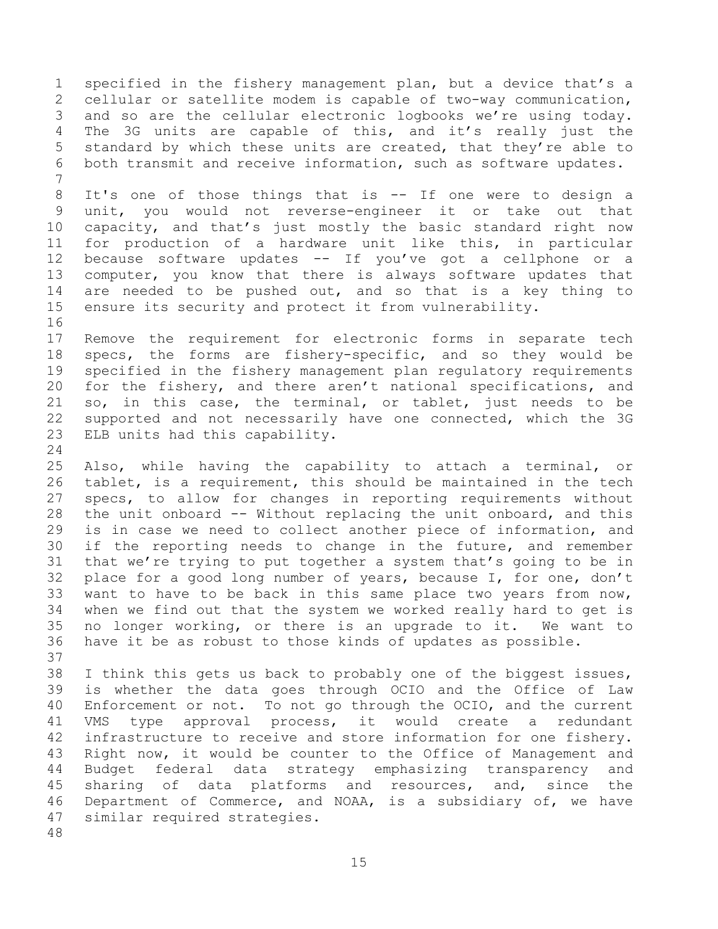specified in the fishery management plan, but a device that's a cellular or satellite modem is capable of two-way communication, and so are the cellular electronic logbooks we're using today. The 3G units are capable of this, and it's really just the standard by which these units are created, that they're able to both transmit and receive information, such as software updates. 8 It's one of those things that is -- If one were to design a unit, you would not reverse-engineer it or take out that capacity, and that's just mostly the basic standard right now for production of a hardware unit like this, in particular because software updates -- If you've got a cellphone or a computer, you know that there is always software updates that are needed to be pushed out, and so that is a key thing to ensure its security and protect it from vulnerability. Remove the requirement for electronic forms in separate tech specs, the forms are fishery-specific, and so they would be specified in the fishery management plan regulatory requirements for the fishery, and there aren't national specifications, and so, in this case, the terminal, or tablet, just needs to be supported and not necessarily have one connected, which the 3G ELB units had this capability. Also, while having the capability to attach a terminal, or tablet, is a requirement, this should be maintained in the tech specs, to allow for changes in reporting requirements without the unit onboard -- Without replacing the unit onboard, and this is in case we need to collect another piece of information, and if the reporting needs to change in the future, and remember that we're trying to put together a system that's going to be in place for a good long number of years, because I, for one, don't want to have to be back in this same place two years from now, when we find out that the system we worked really hard to get is no longer working, or there is an upgrade to it. We want to have it be as robust to those kinds of updates as possible. I think this gets us back to probably one of the biggest issues, is whether the data goes through OCIO and the Office of Law Enforcement or not. To not go through the OCIO, and the current VMS type approval process, it would create a redundant infrastructure to receive and store information for one fishery. Right now, it would be counter to the Office of Management and Budget federal data strategy emphasizing transparency and sharing of data platforms and resources, and, since the Department of Commerce, and NOAA, is a subsidiary of, we have similar required strategies.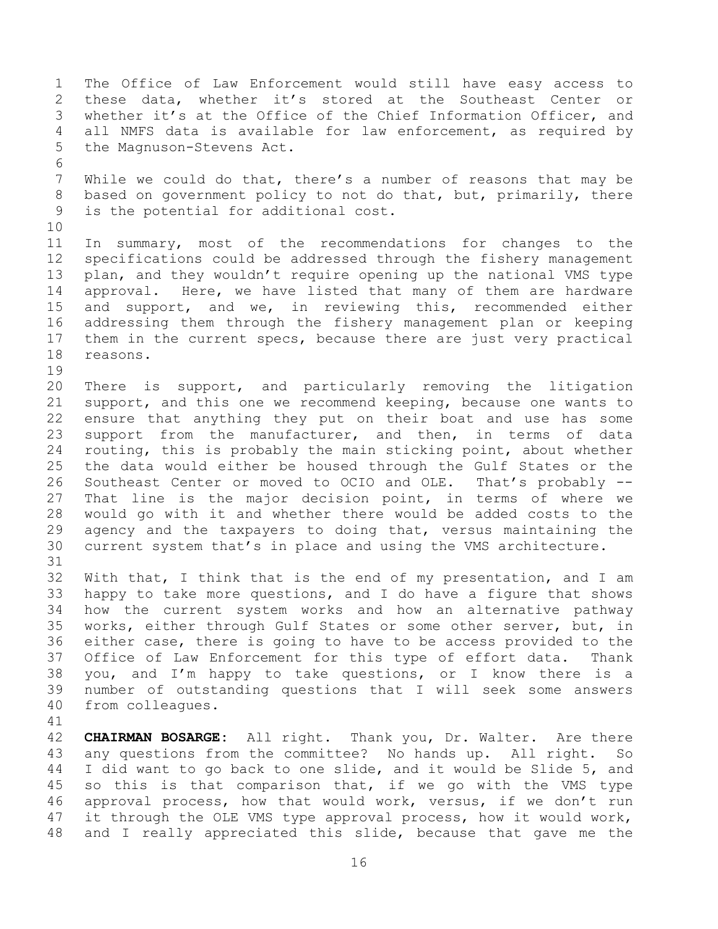The Office of Law Enforcement would still have easy access to these data, whether it's stored at the Southeast Center or whether it's at the Office of the Chief Information Officer, and all NMFS data is available for law enforcement, as required by the Magnuson-Stevens Act. While we could do that, there's a number of reasons that may be based on government policy to not do that, but, primarily, there is the potential for additional cost. In summary, most of the recommendations for changes to the specifications could be addressed through the fishery management plan, and they wouldn't require opening up the national VMS type approval. Here, we have listed that many of them are hardware and support, and we, in reviewing this, recommended either addressing them through the fishery management plan or keeping them in the current specs, because there are just very practical reasons. There is support, and particularly removing the litigation support, and this one we recommend keeping, because one wants to ensure that anything they put on their boat and use has some support from the manufacturer, and then, in terms of data routing, this is probably the main sticking point, about whether the data would either be housed through the Gulf States or the Southeast Center or moved to OCIO and OLE. That's probably -- That line is the major decision point, in terms of where we would go with it and whether there would be added costs to the agency and the taxpayers to doing that, versus maintaining the current system that's in place and using the VMS architecture. With that, I think that is the end of my presentation, and I am happy to take more questions, and I do have a figure that shows how the current system works and how an alternative pathway works, either through Gulf States or some other server, but, in either case, there is going to have to be access provided to the Office of Law Enforcement for this type of effort data. Thank you, and I'm happy to take questions, or I know there is a number of outstanding questions that I will seek some answers from colleagues. **CHAIRMAN BOSARGE:** All right. Thank you, Dr. Walter. Are there any questions from the committee? No hands up. All right. So I did want to go back to one slide, and it would be Slide 5, and so this is that comparison that, if we go with the VMS type approval process, how that would work, versus, if we don't run

 it through the OLE VMS type approval process, how it would work, and I really appreciated this slide, because that gave me the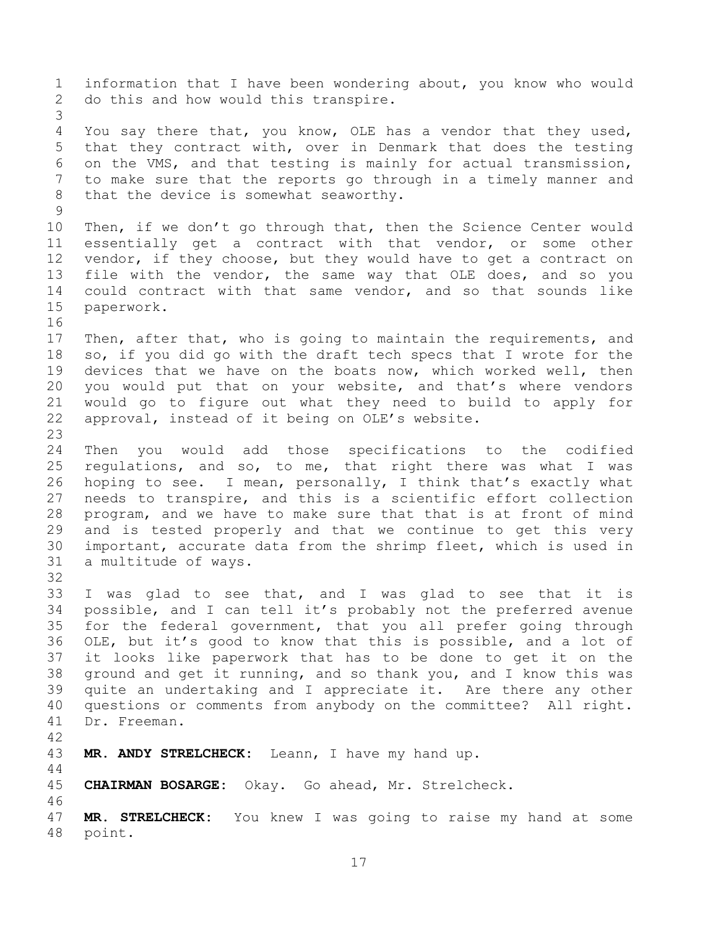information that I have been wondering about, you know who would do this and how would this transpire. You say there that, you know, OLE has a vendor that they used, that they contract with, over in Denmark that does the testing on the VMS, and that testing is mainly for actual transmission, to make sure that the reports go through in a timely manner and that the device is somewhat seaworthy. Then, if we don't go through that, then the Science Center would essentially get a contract with that vendor, or some other vendor, if they choose, but they would have to get a contract on file with the vendor, the same way that OLE does, and so you could contract with that same vendor, and so that sounds like paperwork. 17 Then, after that, who is going to maintain the requirements, and so, if you did go with the draft tech specs that I wrote for the devices that we have on the boats now, which worked well, then you would put that on your website, and that's where vendors would go to figure out what they need to build to apply for approval, instead of it being on OLE's website. Then you would add those specifications to the codified regulations, and so, to me, that right there was what I was hoping to see. I mean, personally, I think that's exactly what needs to transpire, and this is a scientific effort collection program, and we have to make sure that that is at front of mind and is tested properly and that we continue to get this very important, accurate data from the shrimp fleet, which is used in a multitude of ways. I was glad to see that, and I was glad to see that it is possible, and I can tell it's probably not the preferred avenue for the federal government, that you all prefer going through OLE, but it's good to know that this is possible, and a lot of it looks like paperwork that has to be done to get it on the ground and get it running, and so thank you, and I know this was quite an undertaking and I appreciate it. Are there any other questions or comments from anybody on the committee? All right. Dr. Freeman. **MR. ANDY STRELCHECK:** Leann, I have my hand up. **CHAIRMAN BOSARGE:** Okay. Go ahead, Mr. Strelcheck. **MR. STRELCHECK:** You knew I was going to raise my hand at some point.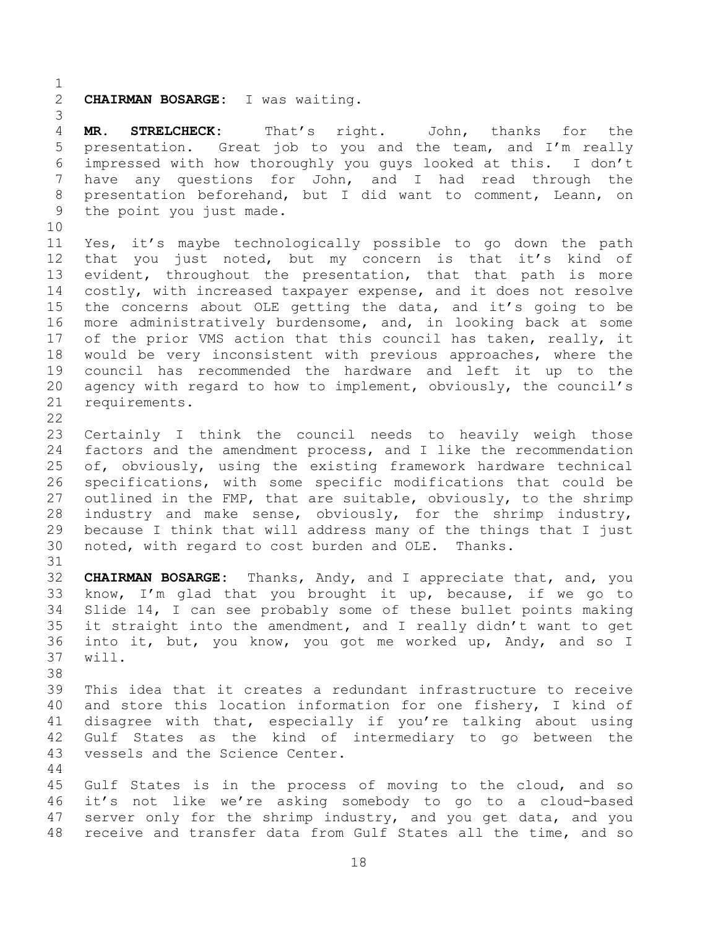**CHAIRMAN BOSARGE:** I was waiting.

 **MR. STRELCHECK:** That's right. John, thanks for the presentation. Great job to you and the team, and I'm really impressed with how thoroughly you guys looked at this. I don't have any questions for John, and I had read through the presentation beforehand, but I did want to comment, Leann, on the point you just made.

 Yes, it's maybe technologically possible to go down the path that you just noted, but my concern is that it's kind of evident, throughout the presentation, that that path is more costly, with increased taxpayer expense, and it does not resolve the concerns about OLE getting the data, and it's going to be more administratively burdensome, and, in looking back at some of the prior VMS action that this council has taken, really, it would be very inconsistent with previous approaches, where the council has recommended the hardware and left it up to the agency with regard to how to implement, obviously, the council's requirements. 

 Certainly I think the council needs to heavily weigh those factors and the amendment process, and I like the recommendation of, obviously, using the existing framework hardware technical specifications, with some specific modifications that could be outlined in the FMP, that are suitable, obviously, to the shrimp industry and make sense, obviously, for the shrimp industry, because I think that will address many of the things that I just noted, with regard to cost burden and OLE. Thanks.

 **CHAIRMAN BOSARGE:** Thanks, Andy, and I appreciate that, and, you know, I'm glad that you brought it up, because, if we go to Slide 14, I can see probably some of these bullet points making it straight into the amendment, and I really didn't want to get into it, but, you know, you got me worked up, Andy, and so I will.

 This idea that it creates a redundant infrastructure to receive and store this location information for one fishery, I kind of disagree with that, especially if you're talking about using Gulf States as the kind of intermediary to go between the vessels and the Science Center.

 Gulf States is in the process of moving to the cloud, and so it's not like we're asking somebody to go to a cloud-based 47 server only for the shrimp industry, and you get data, and you receive and transfer data from Gulf States all the time, and so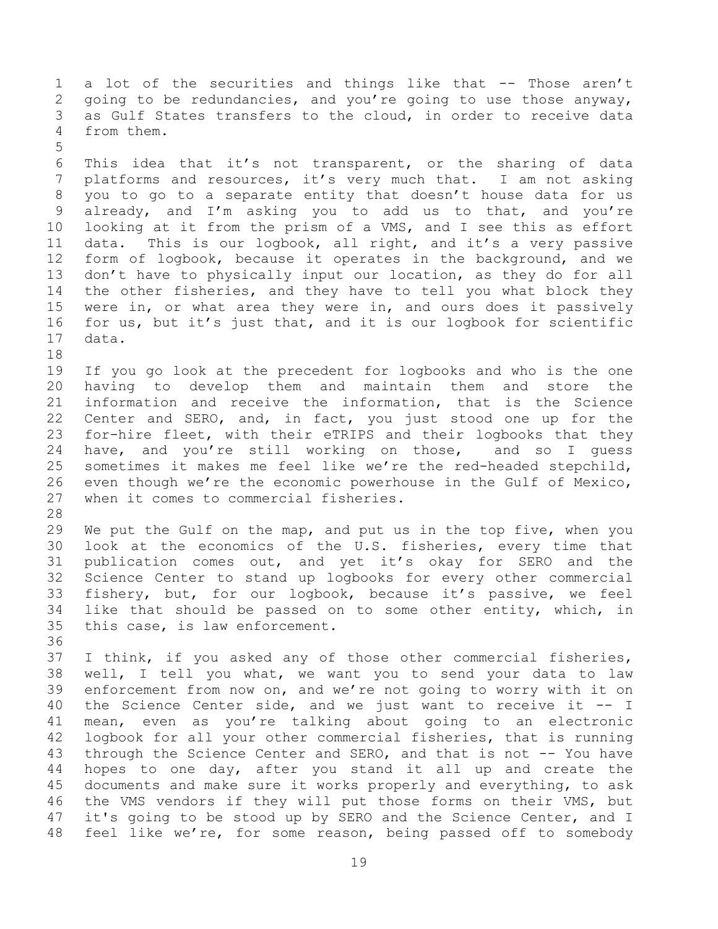1 a lot of the securities and things like that -- Those aren't going to be redundancies, and you're going to use those anyway, as Gulf States transfers to the cloud, in order to receive data from them.

 This idea that it's not transparent, or the sharing of data platforms and resources, it's very much that. I am not asking you to go to a separate entity that doesn't house data for us already, and I'm asking you to add us to that, and you're looking at it from the prism of a VMS, and I see this as effort data. This is our logbook, all right, and it's a very passive form of logbook, because it operates in the background, and we don't have to physically input our location, as they do for all the other fisheries, and they have to tell you what block they were in, or what area they were in, and ours does it passively for us, but it's just that, and it is our logbook for scientific data.

 If you go look at the precedent for logbooks and who is the one having to develop them and maintain them and store the information and receive the information, that is the Science Center and SERO, and, in fact, you just stood one up for the for-hire fleet, with their eTRIPS and their logbooks that they have, and you're still working on those, and so I guess sometimes it makes me feel like we're the red-headed stepchild, even though we're the economic powerhouse in the Gulf of Mexico, when it comes to commercial fisheries.

 We put the Gulf on the map, and put us in the top five, when you look at the economics of the U.S. fisheries, every time that publication comes out, and yet it's okay for SERO and the Science Center to stand up logbooks for every other commercial fishery, but, for our logbook, because it's passive, we feel like that should be passed on to some other entity, which, in this case, is law enforcement.

 I think, if you asked any of those other commercial fisheries, well, I tell you what, we want you to send your data to law enforcement from now on, and we're not going to worry with it on the Science Center side, and we just want to receive it -- I mean, even as you're talking about going to an electronic logbook for all your other commercial fisheries, that is running through the Science Center and SERO, and that is not -- You have hopes to one day, after you stand it all up and create the documents and make sure it works properly and everything, to ask the VMS vendors if they will put those forms on their VMS, but 47 it's going to be stood up by SERO and the Science Center, and I feel like we're, for some reason, being passed off to somebody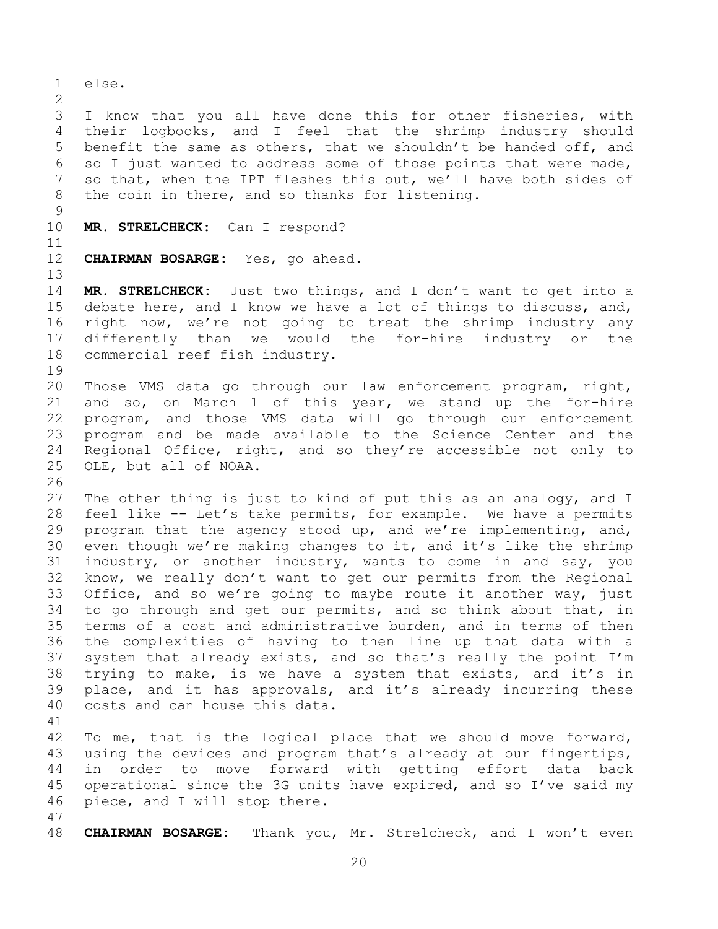else. I know that you all have done this for other fisheries, with their logbooks, and I feel that the shrimp industry should benefit the same as others, that we shouldn't be handed off, and so I just wanted to address some of those points that were made, so that, when the IPT fleshes this out, we'll have both sides of the coin in there, and so thanks for listening. **MR. STRELCHECK:** Can I respond? **CHAIRMAN BOSARGE:** Yes, go ahead. **MR. STRELCHECK:** Just two things, and I don't want to get into a debate here, and I know we have a lot of things to discuss, and, right now, we're not going to treat the shrimp industry any differently than we would the for-hire industry or the commercial reef fish industry. Those VMS data go through our law enforcement program, right, and so, on March 1 of this year, we stand up the for-hire program, and those VMS data will go through our enforcement program and be made available to the Science Center and the Regional Office, right, and so they're accessible not only to OLE, but all of NOAA. The other thing is just to kind of put this as an analogy, and I feel like -- Let's take permits, for example. We have a permits program that the agency stood up, and we're implementing, and, even though we're making changes to it, and it's like the shrimp industry, or another industry, wants to come in and say, you know, we really don't want to get our permits from the Regional Office, and so we're going to maybe route it another way, just to go through and get our permits, and so think about that, in terms of a cost and administrative burden, and in terms of then the complexities of having to then line up that data with a system that already exists, and so that's really the point I'm trying to make, is we have a system that exists, and it's in place, and it has approvals, and it's already incurring these costs and can house this data. To me, that is the logical place that we should move forward, using the devices and program that's already at our fingertips, in order to move forward with getting effort data back operational since the 3G units have expired, and so I've said my piece, and I will stop there. **CHAIRMAN BOSARGE:** Thank you, Mr. Strelcheck, and I won't even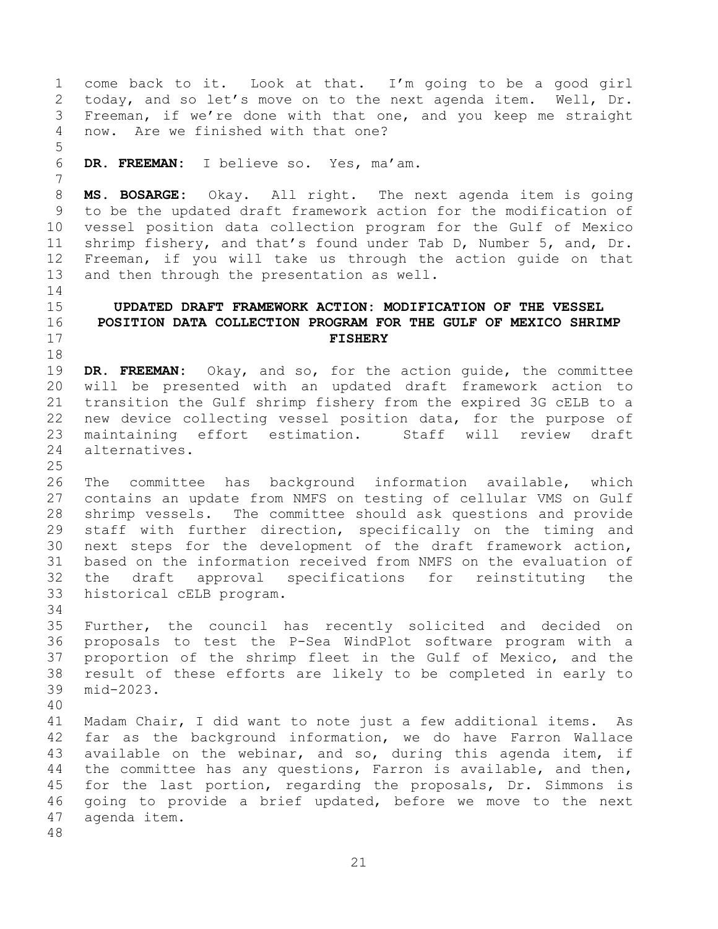<span id="page-20-0"></span> Freeman, if we're done with that one, and you keep me straight now. Are we finished with that one? **DR. FREEMAN:** I believe so. Yes, ma'am. **MS. BOSARGE:** Okay. All right. The next agenda item is going to be the updated draft framework action for the modification of vessel position data collection program for the Gulf of Mexico shrimp fishery, and that's found under Tab D, Number 5, and, Dr. Freeman, if you will take us through the action guide on that and then through the presentation as well. **UPDATED DRAFT FRAMEWORK ACTION: MODIFICATION OF THE VESSEL POSITION DATA COLLECTION PROGRAM FOR THE GULF OF MEXICO SHRIMP FISHERY DR. FREEMAN:** Okay, and so, for the action guide, the committee will be presented with an updated draft framework action to transition the Gulf shrimp fishery from the expired 3G cELB to a new device collecting vessel position data, for the purpose of maintaining effort estimation. Staff will review draft alternatives. The committee has background information available, which contains an update from NMFS on testing of cellular VMS on Gulf shrimp vessels. The committee should ask questions and provide staff with further direction, specifically on the timing and next steps for the development of the draft framework action, based on the information received from NMFS on the evaluation of the draft approval specifications for reinstituting the historical cELB program. Further, the council has recently solicited and decided on proposals to test the P-Sea WindPlot software program with a proportion of the shrimp fleet in the Gulf of Mexico, and the result of these efforts are likely to be completed in early to mid-2023.

 come back to it. Look at that. I'm going to be a good girl today, and so let's move on to the next agenda item. Well, Dr.

 Madam Chair, I did want to note just a few additional items. As far as the background information, we do have Farron Wallace available on the webinar, and so, during this agenda item, if the committee has any questions, Farron is available, and then, for the last portion, regarding the proposals, Dr. Simmons is going to provide a brief updated, before we move to the next agenda item.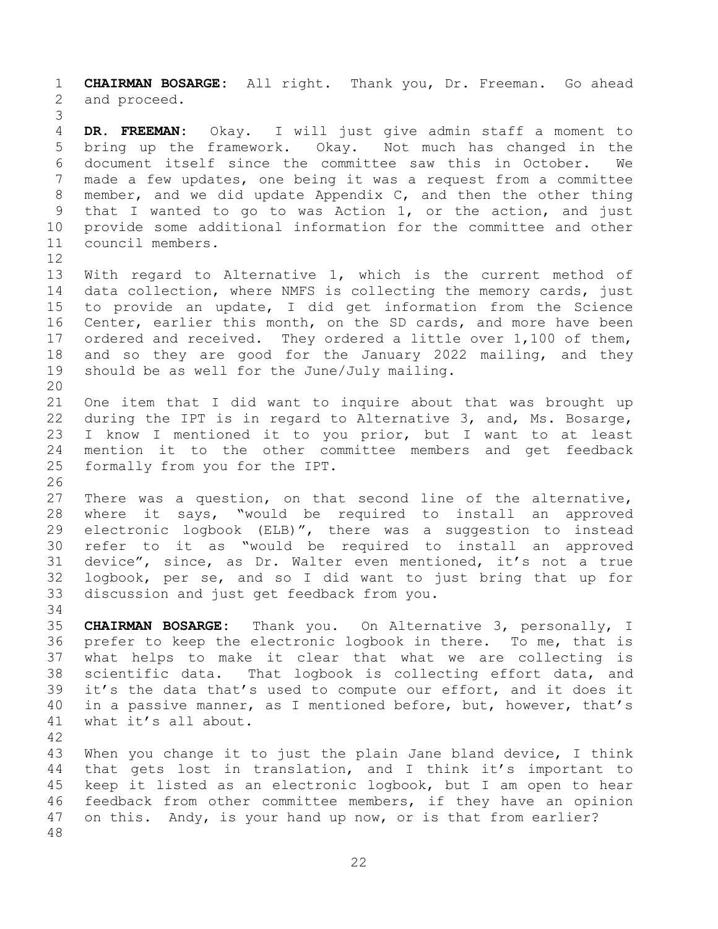**CHAIRMAN BOSARGE:** All right. Thank you, Dr. Freeman. Go ahead and proceed. 

 **DR. FREEMAN:** Okay. I will just give admin staff a moment to bring up the framework. Okay. Not much has changed in the document itself since the committee saw this in October. We made a few updates, one being it was a request from a committee member, and we did update Appendix C, and then the other thing that I wanted to go to was Action 1, or the action, and just provide some additional information for the committee and other council members. 

- With regard to Alternative 1, which is the current method of 14 data collection, where NMFS is collecting the memory cards, just to provide an update, I did get information from the Science Center, earlier this month, on the SD cards, and more have been ordered and received. They ordered a little over 1,100 of them, and so they are good for the January 2022 mailing, and they should be as well for the June/July mailing.
- One item that I did want to inquire about that was brought up during the IPT is in regard to Alternative 3, and, Ms. Bosarge, I know I mentioned it to you prior, but I want to at least mention it to the other committee members and get feedback formally from you for the IPT.

 There was a question, on that second line of the alternative, where it says, "would be required to install an approved electronic logbook (ELB)", there was a suggestion to instead refer to it as "would be required to install an approved device", since, as Dr. Walter even mentioned, it's not a true logbook, per se, and so I did want to just bring that up for discussion and just get feedback from you.

 **CHAIRMAN BOSARGE:** Thank you. On Alternative 3, personally, I prefer to keep the electronic logbook in there. To me, that is what helps to make it clear that what we are collecting is scientific data. That logbook is collecting effort data, and it's the data that's used to compute our effort, and it does it in a passive manner, as I mentioned before, but, however, that's what it's all about.

 When you change it to just the plain Jane bland device, I think that gets lost in translation, and I think it's important to keep it listed as an electronic logbook, but I am open to hear feedback from other committee members, if they have an opinion on this. Andy, is your hand up now, or is that from earlier?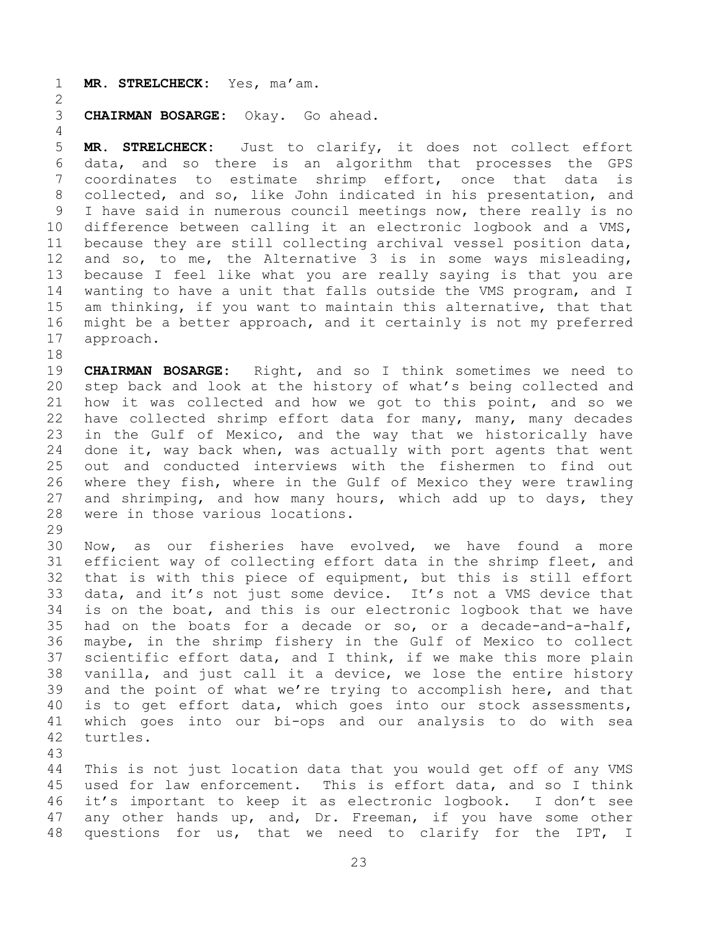**MR. STRELCHECK:** Yes, ma'am.

**CHAIRMAN BOSARGE:** Okay. Go ahead.

 **MR. STRELCHECK:** Just to clarify, it does not collect effort data, and so there is an algorithm that processes the GPS coordinates to estimate shrimp effort, once that data is collected, and so, like John indicated in his presentation, and I have said in numerous council meetings now, there really is no difference between calling it an electronic logbook and a VMS, because they are still collecting archival vessel position data, and so, to me, the Alternative 3 is in some ways misleading, because I feel like what you are really saying is that you are wanting to have a unit that falls outside the VMS program, and I am thinking, if you want to maintain this alternative, that that might be a better approach, and it certainly is not my preferred approach. 

 **CHAIRMAN BOSARGE:** Right, and so I think sometimes we need to step back and look at the history of what's being collected and how it was collected and how we got to this point, and so we have collected shrimp effort data for many, many, many decades in the Gulf of Mexico, and the way that we historically have done it, way back when, was actually with port agents that went out and conducted interviews with the fishermen to find out where they fish, where in the Gulf of Mexico they were trawling and shrimping, and how many hours, which add up to days, they were in those various locations.

 Now, as our fisheries have evolved, we have found a more efficient way of collecting effort data in the shrimp fleet, and that is with this piece of equipment, but this is still effort data, and it's not just some device. It's not a VMS device that is on the boat, and this is our electronic logbook that we have had on the boats for a decade or so, or a decade-and-a-half, maybe, in the shrimp fishery in the Gulf of Mexico to collect scientific effort data, and I think, if we make this more plain vanilla, and just call it a device, we lose the entire history and the point of what we're trying to accomplish here, and that is to get effort data, which goes into our stock assessments, which goes into our bi-ops and our analysis to do with sea turtles. 

 This is not just location data that you would get off of any VMS used for law enforcement. This is effort data, and so I think it's important to keep it as electronic logbook. I don't see any other hands up, and, Dr. Freeman, if you have some other questions for us, that we need to clarify for the IPT, I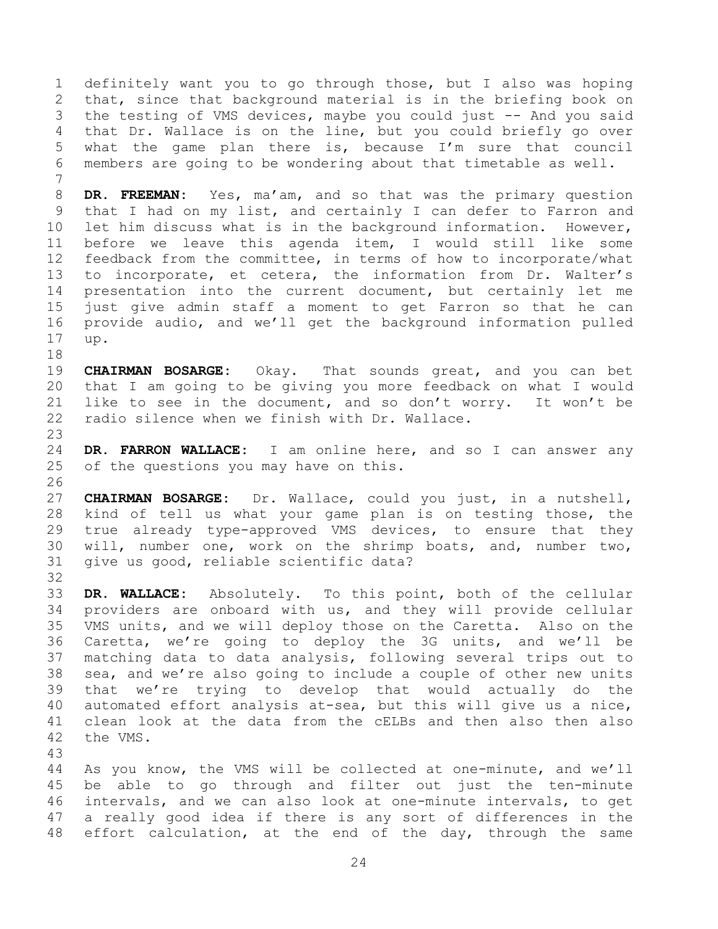definitely want you to go through those, but I also was hoping that, since that background material is in the briefing book on the testing of VMS devices, maybe you could just -- And you said that Dr. Wallace is on the line, but you could briefly go over what the game plan there is, because I'm sure that council members are going to be wondering about that timetable as well.

 **DR. FREEMAN:** Yes, ma'am, and so that was the primary question that I had on my list, and certainly I can defer to Farron and let him discuss what is in the background information. However, before we leave this agenda item, I would still like some feedback from the committee, in terms of how to incorporate/what to incorporate, et cetera, the information from Dr. Walter's presentation into the current document, but certainly let me just give admin staff a moment to get Farron so that he can provide audio, and we'll get the background information pulled up.

 **CHAIRMAN BOSARGE:** Okay. That sounds great, and you can bet that I am going to be giving you more feedback on what I would like to see in the document, and so don't worry. It won't be radio silence when we finish with Dr. Wallace.

 **DR. FARRON WALLACE:** I am online here, and so I can answer any 25 of the questions you may have on this.

 **CHAIRMAN BOSARGE:** Dr. Wallace, could you just, in a nutshell, kind of tell us what your game plan is on testing those, the true already type-approved VMS devices, to ensure that they will, number one, work on the shrimp boats, and, number two, give us good, reliable scientific data?

 **DR. WALLACE:** Absolutely. To this point, both of the cellular providers are onboard with us, and they will provide cellular VMS units, and we will deploy those on the Caretta. Also on the Caretta, we're going to deploy the 3G units, and we'll be matching data to data analysis, following several trips out to sea, and we're also going to include a couple of other new units that we're trying to develop that would actually do the automated effort analysis at-sea, but this will give us a nice, clean look at the data from the cELBs and then also then also the VMS.

 As you know, the VMS will be collected at one-minute, and we'll be able to go through and filter out just the ten-minute intervals, and we can also look at one-minute intervals, to get a really good idea if there is any sort of differences in the effort calculation, at the end of the day, through the same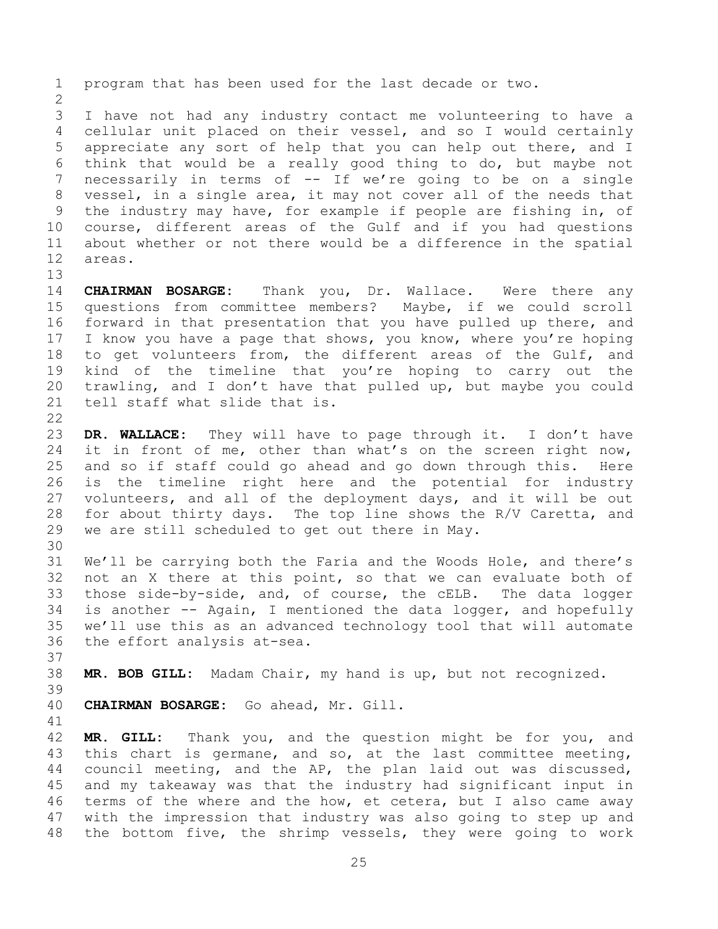program that has been used for the last decade or two. I have not had any industry contact me volunteering to have a cellular unit placed on their vessel, and so I would certainly appreciate any sort of help that you can help out there, and I think that would be a really good thing to do, but maybe not 7 necessarily in terms of -- If we're going to be on a single vessel, in a single area, it may not cover all of the needs that the industry may have, for example if people are fishing in, of course, different areas of the Gulf and if you had questions about whether or not there would be a difference in the spatial areas. 

 **CHAIRMAN BOSARGE:** Thank you, Dr. Wallace. Were there any questions from committee members? Maybe, if we could scroll forward in that presentation that you have pulled up there, and 17 I know you have a page that shows, you know, where you're hoping 18 to get volunteers from, the different areas of the Gulf, and kind of the timeline that you're hoping to carry out the trawling, and I don't have that pulled up, but maybe you could tell staff what slide that is. 

 **DR. WALLACE:** They will have to page through it. I don't have it in front of me, other than what's on the screen right now, and so if staff could go ahead and go down through this. Here is the timeline right here and the potential for industry volunteers, and all of the deployment days, and it will be out for about thirty days. The top line shows the R/V Caretta, and we are still scheduled to get out there in May.

 We'll be carrying both the Faria and the Woods Hole, and there's not an X there at this point, so that we can evaluate both of those side-by-side, and, of course, the cELB. The data logger is another -- Again, I mentioned the data logger, and hopefully we'll use this as an advanced technology tool that will automate the effort analysis at-sea.

 **MR. BOB GILL:** Madam Chair, my hand is up, but not recognized. 

**CHAIRMAN BOSARGE:** Go ahead, Mr. Gill.

 **MR. GILL:** Thank you, and the question might be for you, and this chart is germane, and so, at the last committee meeting, council meeting, and the AP, the plan laid out was discussed, and my takeaway was that the industry had significant input in terms of the where and the how, et cetera, but I also came away with the impression that industry was also going to step up and the bottom five, the shrimp vessels, they were going to work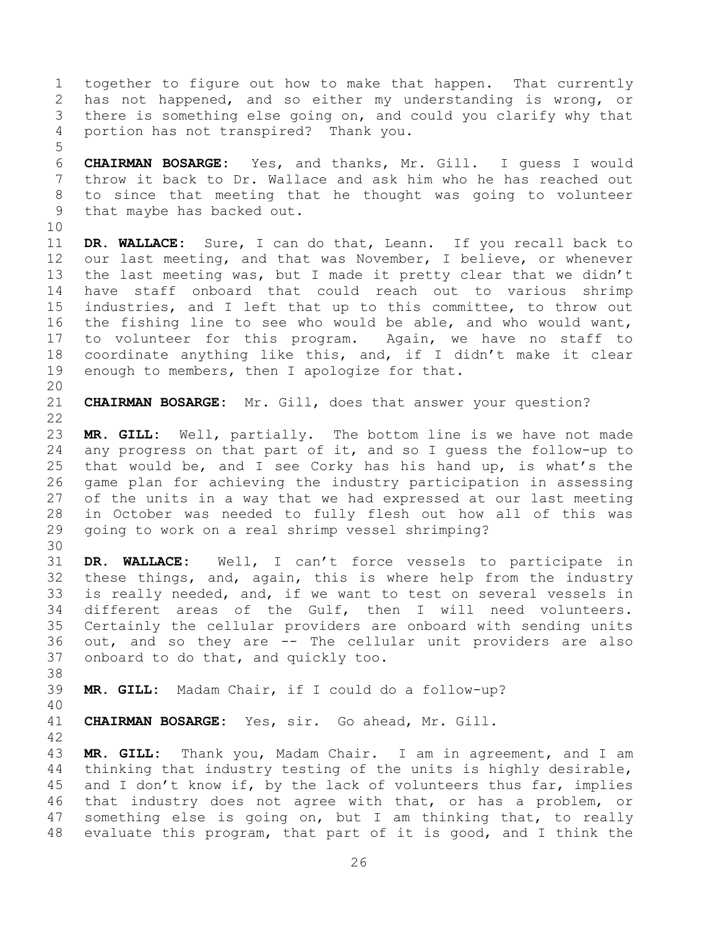together to figure out how to make that happen. That currently has not happened, and so either my understanding is wrong, or there is something else going on, and could you clarify why that portion has not transpired? Thank you.

 **CHAIRMAN BOSARGE:** Yes, and thanks, Mr. Gill. I guess I would throw it back to Dr. Wallace and ask him who he has reached out to since that meeting that he thought was going to volunteer that maybe has backed out.

 **DR. WALLACE:** Sure, I can do that, Leann. If you recall back to our last meeting, and that was November, I believe, or whenever the last meeting was, but I made it pretty clear that we didn't have staff onboard that could reach out to various shrimp industries, and I left that up to this committee, to throw out the fishing line to see who would be able, and who would want, to volunteer for this program. Again, we have no staff to coordinate anything like this, and, if I didn't make it clear enough to members, then I apologize for that.

 **CHAIRMAN BOSARGE:** Mr. Gill, does that answer your question? 

 **MR. GILL:** Well, partially. The bottom line is we have not made any progress on that part of it, and so I guess the follow-up to that would be, and I see Corky has his hand up, is what's the game plan for achieving the industry participation in assessing of the units in a way that we had expressed at our last meeting in October was needed to fully flesh out how all of this was going to work on a real shrimp vessel shrimping?

 **DR. WALLACE:** Well, I can't force vessels to participate in these things, and, again, this is where help from the industry is really needed, and, if we want to test on several vessels in different areas of the Gulf, then I will need volunteers. Certainly the cellular providers are onboard with sending units out, and so they are -- The cellular unit providers are also onboard to do that, and quickly too.

**MR. GILL:** Madam Chair, if I could do a follow-up?

**CHAIRMAN BOSARGE:** Yes, sir. Go ahead, Mr. Gill.

 **MR. GILL:** Thank you, Madam Chair. I am in agreement, and I am thinking that industry testing of the units is highly desirable, 45 and I don't know if, by the lack of volunteers thus far, implies that industry does not agree with that, or has a problem, or something else is going on, but I am thinking that, to really evaluate this program, that part of it is good, and I think the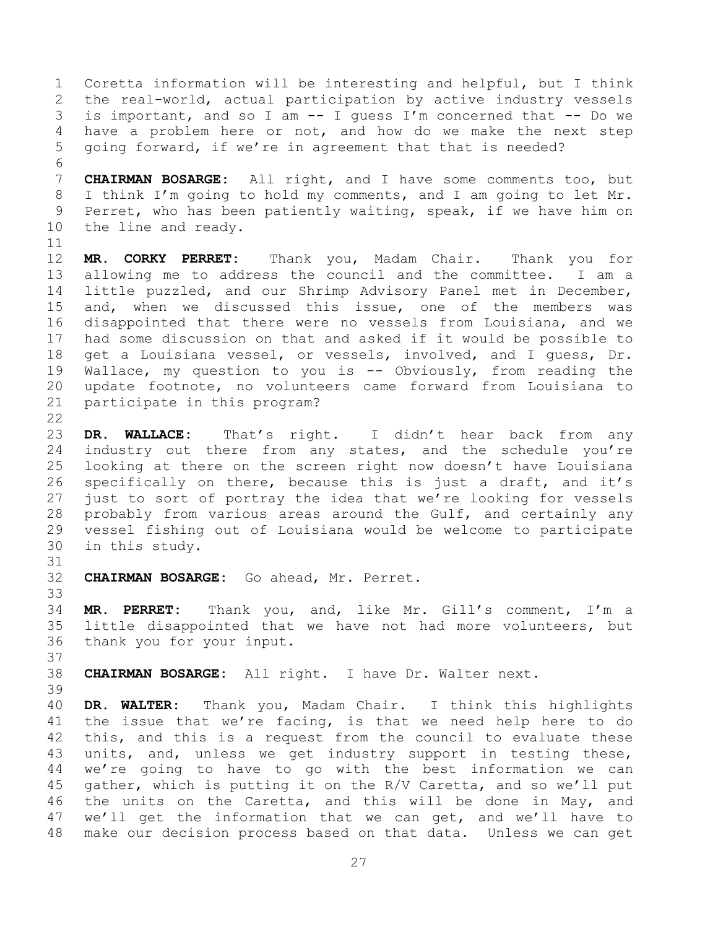Coretta information will be interesting and helpful, but I think the real-world, actual participation by active industry vessels is important, and so I am -- I guess I'm concerned that -- Do we have a problem here or not, and how do we make the next step going forward, if we're in agreement that that is needed? 

 **CHAIRMAN BOSARGE:** All right, and I have some comments too, but I think I'm going to hold my comments, and I am going to let Mr. Perret, who has been patiently waiting, speak, if we have him on the line and ready.

 **MR. CORKY PERRET:** Thank you, Madam Chair. Thank you for allowing me to address the council and the committee. I am a little puzzled, and our Shrimp Advisory Panel met in December, and, when we discussed this issue, one of the members was disappointed that there were no vessels from Louisiana, and we had some discussion on that and asked if it would be possible to get a Louisiana vessel, or vessels, involved, and I guess, Dr. Wallace, my question to you is -- Obviously, from reading the update footnote, no volunteers came forward from Louisiana to participate in this program?

 **DR. WALLACE:** That's right. I didn't hear back from any industry out there from any states, and the schedule you're looking at there on the screen right now doesn't have Louisiana specifically on there, because this is just a draft, and it's just to sort of portray the idea that we're looking for vessels probably from various areas around the Gulf, and certainly any vessel fishing out of Louisiana would be welcome to participate in this study.

**CHAIRMAN BOSARGE:** Go ahead, Mr. Perret.

 **MR. PERRET:** Thank you, and, like Mr. Gill's comment, I'm a little disappointed that we have not had more volunteers, but thank you for your input.

**CHAIRMAN BOSARGE:** All right. I have Dr. Walter next.

 **DR. WALTER:** Thank you, Madam Chair. I think this highlights the issue that we're facing, is that we need help here to do this, and this is a request from the council to evaluate these units, and, unless we get industry support in testing these, we're going to have to go with the best information we can gather, which is putting it on the R/V Caretta, and so we'll put the units on the Caretta, and this will be done in May, and we'll get the information that we can get, and we'll have to make our decision process based on that data. Unless we can get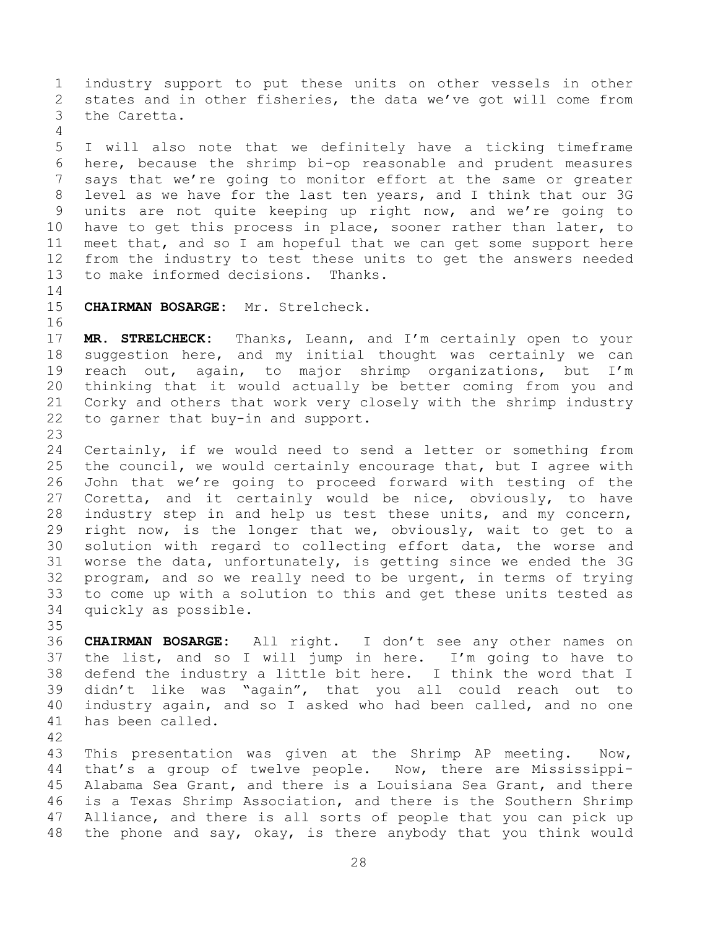industry support to put these units on other vessels in other states and in other fisheries, the data we've got will come from the Caretta.

 I will also note that we definitely have a ticking timeframe here, because the shrimp bi-op reasonable and prudent measures says that we're going to monitor effort at the same or greater level as we have for the last ten years, and I think that our 3G units are not quite keeping up right now, and we're going to have to get this process in place, sooner rather than later, to meet that, and so I am hopeful that we can get some support here from the industry to test these units to get the answers needed to make informed decisions. Thanks.

## **CHAIRMAN BOSARGE:** Mr. Strelcheck.

 **MR. STRELCHECK:** Thanks, Leann, and I'm certainly open to your suggestion here, and my initial thought was certainly we can reach out, again, to major shrimp organizations, but I'm thinking that it would actually be better coming from you and Corky and others that work very closely with the shrimp industry to garner that buy-in and support.

 Certainly, if we would need to send a letter or something from the council, we would certainly encourage that, but I agree with John that we're going to proceed forward with testing of the Coretta, and it certainly would be nice, obviously, to have industry step in and help us test these units, and my concern, right now, is the longer that we, obviously, wait to get to a solution with regard to collecting effort data, the worse and worse the data, unfortunately, is getting since we ended the 3G program, and so we really need to be urgent, in terms of trying to come up with a solution to this and get these units tested as quickly as possible.

 **CHAIRMAN BOSARGE:** All right. I don't see any other names on the list, and so I will jump in here. I'm going to have to defend the industry a little bit here. I think the word that I didn't like was "again", that you all could reach out to industry again, and so I asked who had been called, and no one has been called.

 This presentation was given at the Shrimp AP meeting. Now, that's a group of twelve people. Now, there are Mississippi- Alabama Sea Grant, and there is a Louisiana Sea Grant, and there is a Texas Shrimp Association, and there is the Southern Shrimp Alliance, and there is all sorts of people that you can pick up the phone and say, okay, is there anybody that you think would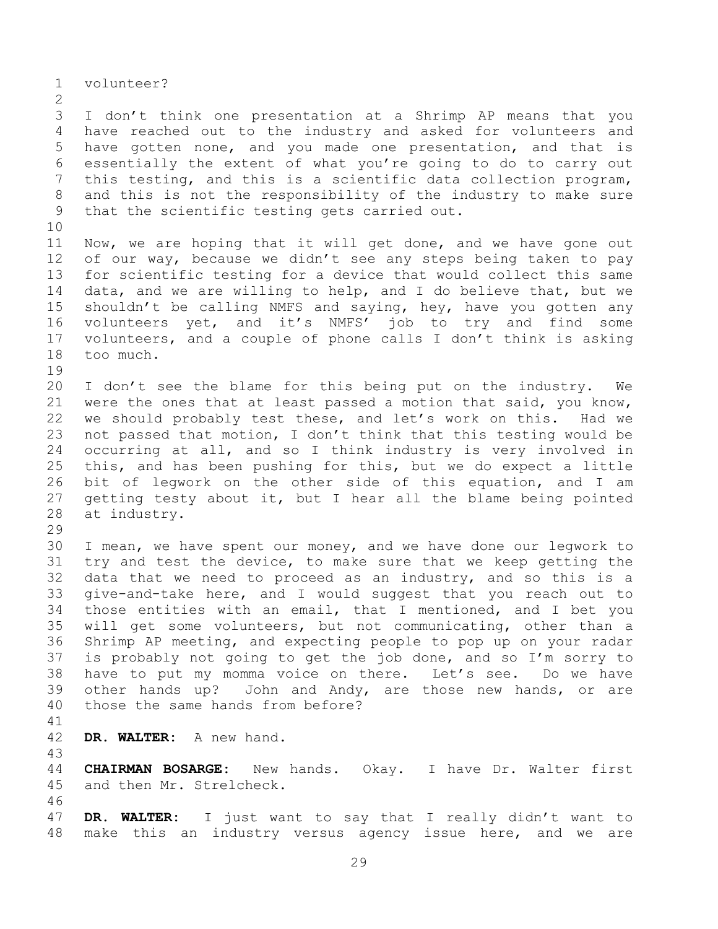volunteer?

 I don't think one presentation at a Shrimp AP means that you have reached out to the industry and asked for volunteers and have gotten none, and you made one presentation, and that is essentially the extent of what you're going to do to carry out this testing, and this is a scientific data collection program, and this is not the responsibility of the industry to make sure that the scientific testing gets carried out.

 Now, we are hoping that it will get done, and we have gone out of our way, because we didn't see any steps being taken to pay for scientific testing for a device that would collect this same data, and we are willing to help, and I do believe that, but we shouldn't be calling NMFS and saying, hey, have you gotten any volunteers yet, and it's NMFS' job to try and find some volunteers, and a couple of phone calls I don't think is asking too much.

 I don't see the blame for this being put on the industry. We were the ones that at least passed a motion that said, you know, we should probably test these, and let's work on this. Had we not passed that motion, I don't think that this testing would be occurring at all, and so I think industry is very involved in this, and has been pushing for this, but we do expect a little bit of legwork on the other side of this equation, and I am getting testy about it, but I hear all the blame being pointed at industry.

 I mean, we have spent our money, and we have done our legwork to try and test the device, to make sure that we keep getting the data that we need to proceed as an industry, and so this is a give-and-take here, and I would suggest that you reach out to those entities with an email, that I mentioned, and I bet you will get some volunteers, but not communicating, other than a Shrimp AP meeting, and expecting people to pop up on your radar is probably not going to get the job done, and so I'm sorry to have to put my momma voice on there. Let's see. Do we have other hands up? John and Andy, are those new hands, or are those the same hands from before?

**DR. WALTER:** A new hand.

 **CHAIRMAN BOSARGE:** New hands. Okay. I have Dr. Walter first and then Mr. Strelcheck.

 **DR. WALTER:** I just want to say that I really didn't want to make this an industry versus agency issue here, and we are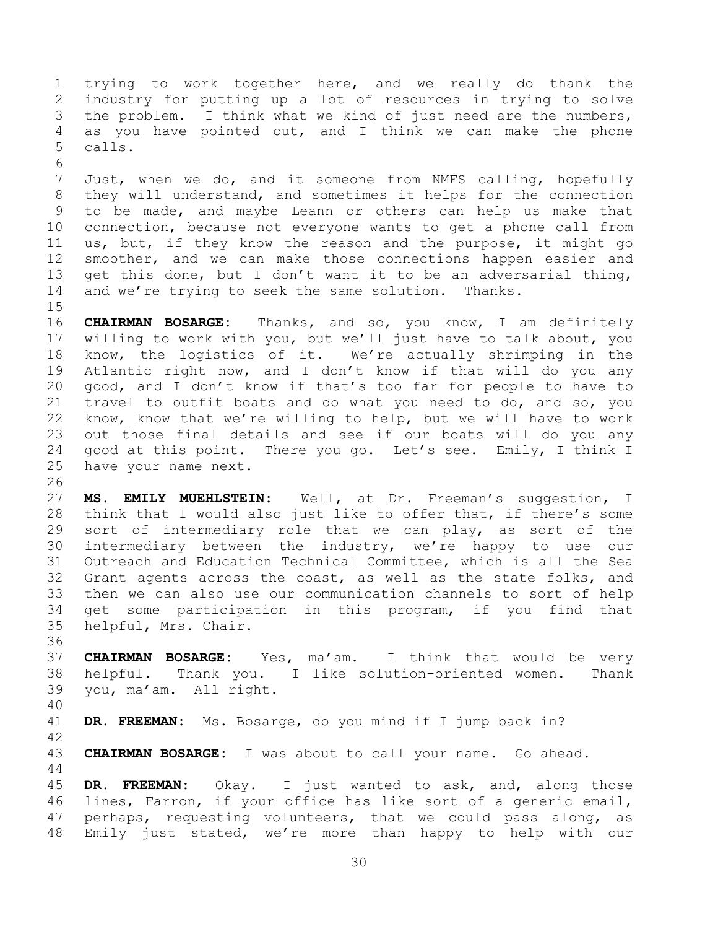trying to work together here, and we really do thank the industry for putting up a lot of resources in trying to solve the problem. I think what we kind of just need are the numbers, as you have pointed out, and I think we can make the phone calls. 

 Just, when we do, and it someone from NMFS calling, hopefully they will understand, and sometimes it helps for the connection to be made, and maybe Leann or others can help us make that connection, because not everyone wants to get a phone call from us, but, if they know the reason and the purpose, it might go smoother, and we can make those connections happen easier and get this done, but I don't want it to be an adversarial thing, 14 and we're trying to seek the same solution. Thanks.

 **CHAIRMAN BOSARGE:** Thanks, and so, you know, I am definitely willing to work with you, but we'll just have to talk about, you know, the logistics of it. We're actually shrimping in the Atlantic right now, and I don't know if that will do you any good, and I don't know if that's too far for people to have to travel to outfit boats and do what you need to do, and so, you know, know that we're willing to help, but we will have to work out those final details and see if our boats will do you any good at this point. There you go. Let's see. Emily, I think I have your name next.

 **MS. EMILY MUEHLSTEIN:** Well, at Dr. Freeman's suggestion, I think that I would also just like to offer that, if there's some sort of intermediary role that we can play, as sort of the intermediary between the industry, we're happy to use our Outreach and Education Technical Committee, which is all the Sea Grant agents across the coast, as well as the state folks, and then we can also use our communication channels to sort of help get some participation in this program, if you find that helpful, Mrs. Chair.

 **CHAIRMAN BOSARGE:** Yes, ma'am. I think that would be very helpful. Thank you. I like solution-oriented women. Thank you, ma'am. All right.

**DR. FREEMAN:** Ms. Bosarge, do you mind if I jump back in?

**CHAIRMAN BOSARGE:** I was about to call your name. Go ahead.

 **DR. FREEMAN:** Okay. I just wanted to ask, and, along those lines, Farron, if your office has like sort of a generic email, perhaps, requesting volunteers, that we could pass along, as Emily just stated, we're more than happy to help with our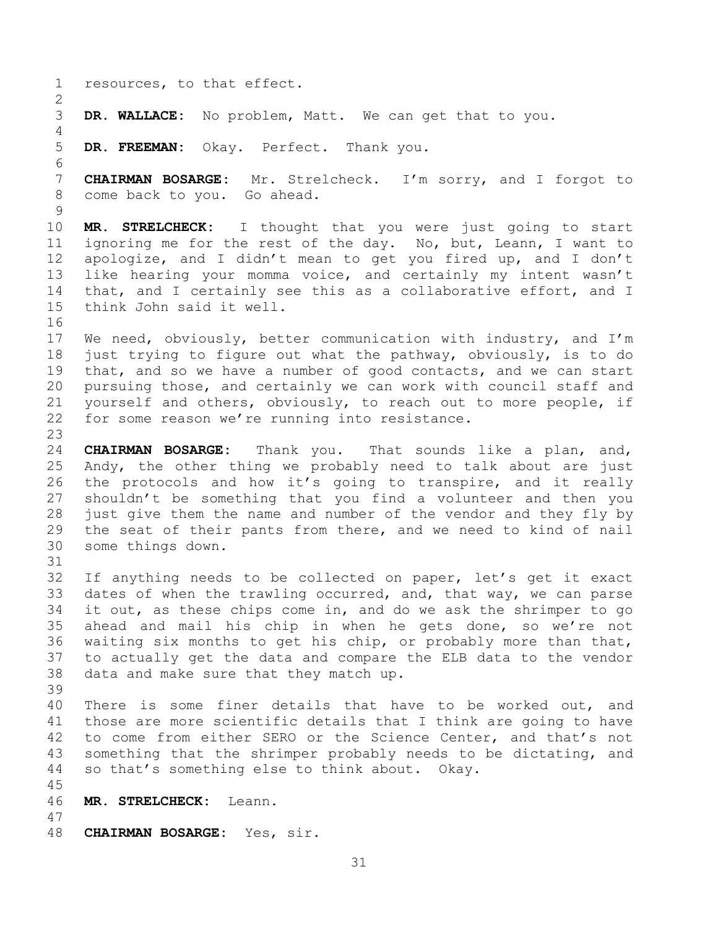resources, to that effect. **DR. WALLACE:** No problem, Matt. We can get that to you. **DR. FREEMAN:** Okay. Perfect. Thank you. **CHAIRMAN BOSARGE:** Mr. Strelcheck. I'm sorry, and I forgot to come back to you. Go ahead. **MR. STRELCHECK:** I thought that you were just going to start ignoring me for the rest of the day. No, but, Leann, I want to apologize, and I didn't mean to get you fired up, and I don't like hearing your momma voice, and certainly my intent wasn't 14 that, and I certainly see this as a collaborative effort, and I think John said it well. We need, obviously, better communication with industry, and I'm just trying to figure out what the pathway, obviously, is to do that, and so we have a number of good contacts, and we can start pursuing those, and certainly we can work with council staff and yourself and others, obviously, to reach out to more people, if for some reason we're running into resistance. **CHAIRMAN BOSARGE:** Thank you. That sounds like a plan, and, Andy, the other thing we probably need to talk about are just the protocols and how it's going to transpire, and it really shouldn't be something that you find a volunteer and then you just give them the name and number of the vendor and they fly by the seat of their pants from there, and we need to kind of nail some things down. If anything needs to be collected on paper, let's get it exact dates of when the trawling occurred, and, that way, we can parse it out, as these chips come in, and do we ask the shrimper to go ahead and mail his chip in when he gets done, so we're not waiting six months to get his chip, or probably more than that, to actually get the data and compare the ELB data to the vendor data and make sure that they match up. There is some finer details that have to be worked out, and those are more scientific details that I think are going to have to come from either SERO or the Science Center, and that's not something that the shrimper probably needs to be dictating, and so that's something else to think about. Okay. **MR. STRELCHECK:** Leann. **CHAIRMAN BOSARGE:** Yes, sir.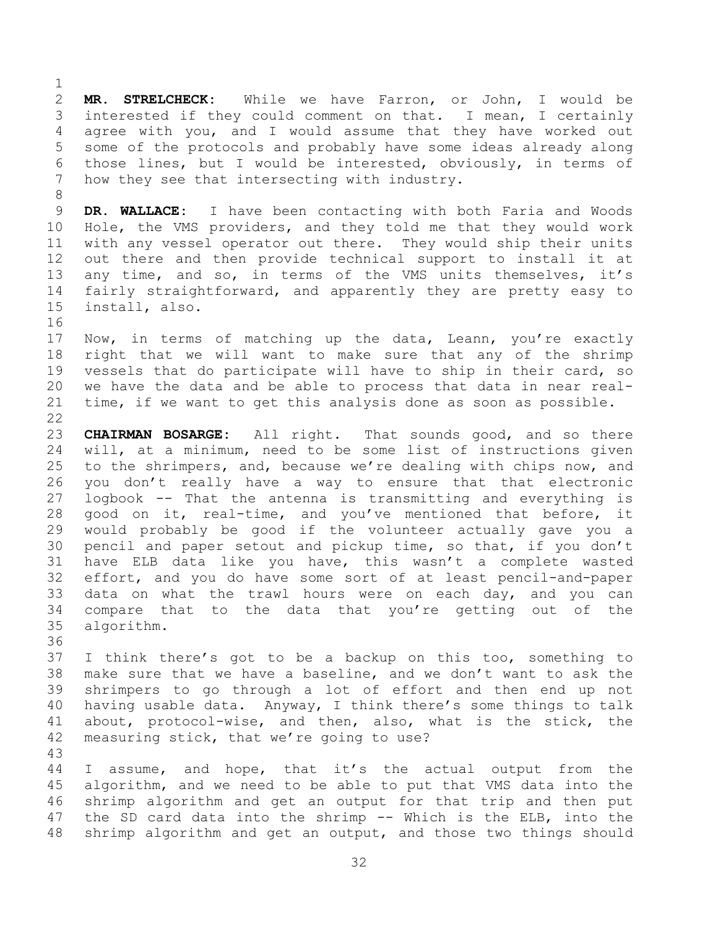**MR. STRELCHECK:** While we have Farron, or John, I would be interested if they could comment on that. I mean, I certainly agree with you, and I would assume that they have worked out some of the protocols and probably have some ideas already along those lines, but I would be interested, obviously, in terms of how they see that intersecting with industry.

 **DR. WALLACE:** I have been contacting with both Faria and Woods Hole, the VMS providers, and they told me that they would work with any vessel operator out there. They would ship their units out there and then provide technical support to install it at any time, and so, in terms of the VMS units themselves, it's fairly straightforward, and apparently they are pretty easy to install, also.

 Now, in terms of matching up the data, Leann, you're exactly right that we will want to make sure that any of the shrimp vessels that do participate will have to ship in their card, so we have the data and be able to process that data in near real- time, if we want to get this analysis done as soon as possible. 

 **CHAIRMAN BOSARGE:** All right. That sounds good, and so there will, at a minimum, need to be some list of instructions given to the shrimpers, and, because we're dealing with chips now, and you don't really have a way to ensure that that electronic logbook -- That the antenna is transmitting and everything is good on it, real-time, and you've mentioned that before, it would probably be good if the volunteer actually gave you a pencil and paper setout and pickup time, so that, if you don't have ELB data like you have, this wasn't a complete wasted effort, and you do have some sort of at least pencil-and-paper 33 data on what the trawl hours were on each day, and you can compare that to the data that you're getting out of the algorithm.

 I think there's got to be a backup on this too, something to make sure that we have a baseline, and we don't want to ask the shrimpers to go through a lot of effort and then end up not having usable data. Anyway, I think there's some things to talk about, protocol-wise, and then, also, what is the stick, the measuring stick, that we're going to use?

 I assume, and hope, that it's the actual output from the algorithm, and we need to be able to put that VMS data into the shrimp algorithm and get an output for that trip and then put the SD card data into the shrimp -- Which is the ELB, into the shrimp algorithm and get an output, and those two things should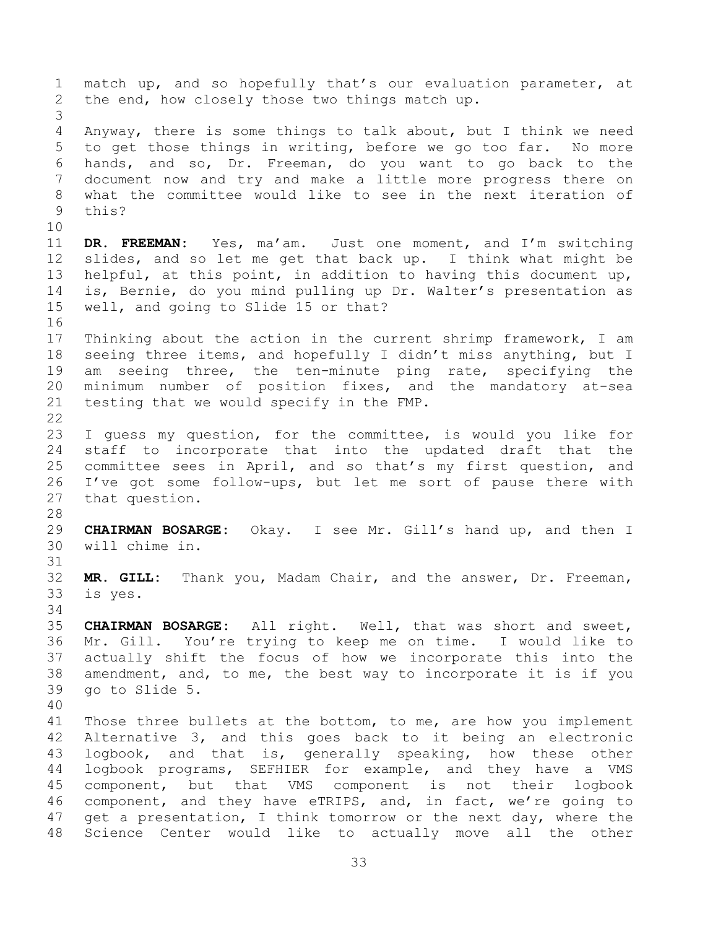match up, and so hopefully that's our evaluation parameter, at the end, how closely those two things match up. Anyway, there is some things to talk about, but I think we need to get those things in writing, before we go too far. No more hands, and so, Dr. Freeman, do you want to go back to the document now and try and make a little more progress there on what the committee would like to see in the next iteration of this? **DR. FREEMAN:** Yes, ma'am. Just one moment, and I'm switching slides, and so let me get that back up. I think what might be helpful, at this point, in addition to having this document up, is, Bernie, do you mind pulling up Dr. Walter's presentation as well, and going to Slide 15 or that? Thinking about the action in the current shrimp framework, I am seeing three items, and hopefully I didn't miss anything, but I am seeing three, the ten-minute ping rate, specifying the minimum number of position fixes, and the mandatory at-sea testing that we would specify in the FMP. I guess my question, for the committee, is would you like for staff to incorporate that into the updated draft that the committee sees in April, and so that's my first question, and I've got some follow-ups, but let me sort of pause there with that question. **CHAIRMAN BOSARGE:** Okay. I see Mr. Gill's hand up, and then I will chime in. **MR. GILL:** Thank you, Madam Chair, and the answer, Dr. Freeman, is yes. **CHAIRMAN BOSARGE:** All right. Well, that was short and sweet, Mr. Gill. You're trying to keep me on time. I would like to actually shift the focus of how we incorporate this into the amendment, and, to me, the best way to incorporate it is if you go to Slide 5. Those three bullets at the bottom, to me, are how you implement Alternative 3, and this goes back to it being an electronic logbook, and that is, generally speaking, how these other logbook programs, SEFHIER for example, and they have a VMS component, but that VMS component is not their logbook component, and they have eTRIPS, and, in fact, we're going to get a presentation, I think tomorrow or the next day, where the Science Center would like to actually move all the other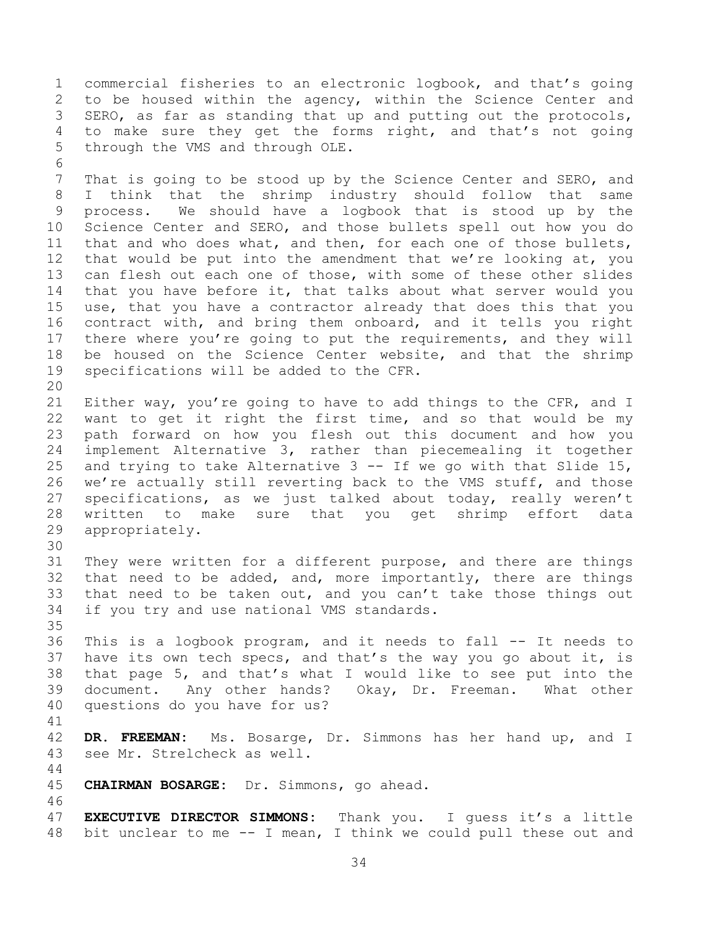commercial fisheries to an electronic logbook, and that's going 2 to be housed within the agency, within the Science Center and SERO, as far as standing that up and putting out the protocols, to make sure they get the forms right, and that's not going through the VMS and through OLE. 

 That is going to be stood up by the Science Center and SERO, and I think that the shrimp industry should follow that same process. We should have a logbook that is stood up by the Science Center and SERO, and those bullets spell out how you do that and who does what, and then, for each one of those bullets, that would be put into the amendment that we're looking at, you can flesh out each one of those, with some of these other slides that you have before it, that talks about what server would you use, that you have a contractor already that does this that you contract with, and bring them onboard, and it tells you right there where you're going to put the requirements, and they will be housed on the Science Center website, and that the shrimp specifications will be added to the CFR. 

 Either way, you're going to have to add things to the CFR, and I want to get it right the first time, and so that would be my path forward on how you flesh out this document and how you implement Alternative 3, rather than piecemealing it together 25 and trying to take Alternative -- If we go with that Slide 15, we're actually still reverting back to the VMS stuff, and those specifications, as we just talked about today, really weren't written to make sure that you get shrimp effort data appropriately.

 They were written for a different purpose, and there are things that need to be added, and, more importantly, there are things that need to be taken out, and you can't take those things out if you try and use national VMS standards.

 This is a logbook program, and it needs to fall -- It needs to have its own tech specs, and that's the way you go about it, is that page 5, and that's what I would like to see put into the document. Any other hands? Okay, Dr. Freeman. What other questions do you have for us?

 **DR. FREEMAN:** Ms. Bosarge, Dr. Simmons has her hand up, and I see Mr. Strelcheck as well.

**CHAIRMAN BOSARGE:** Dr. Simmons, go ahead.

 **EXECUTIVE DIRECTOR SIMMONS:** Thank you. I guess it's a little bit unclear to me -- I mean, I think we could pull these out and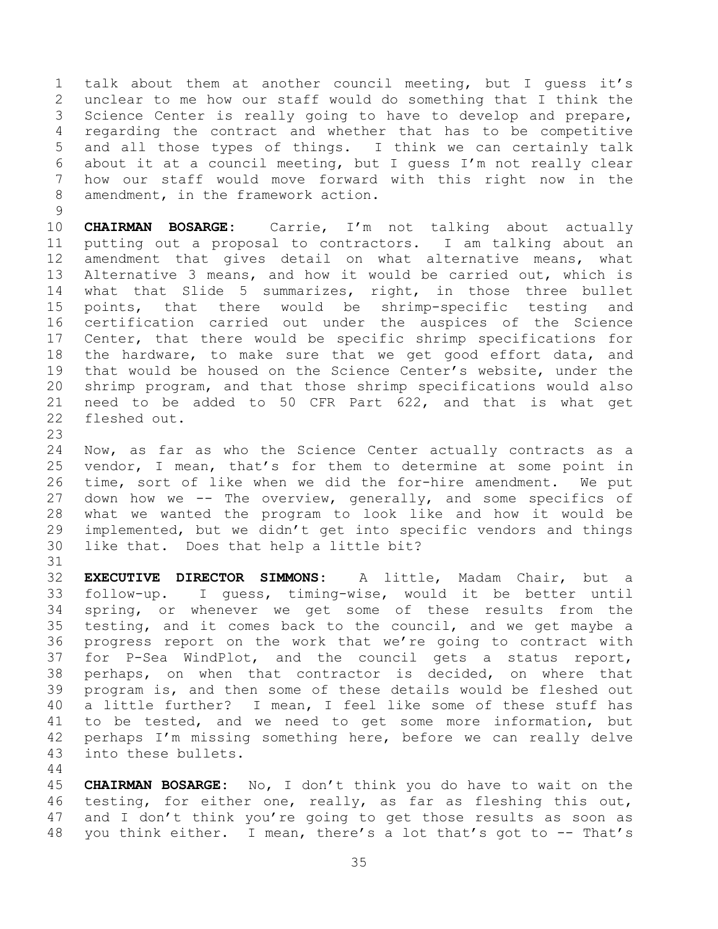talk about them at another council meeting, but I guess it's unclear to me how our staff would do something that I think the Science Center is really going to have to develop and prepare, regarding the contract and whether that has to be competitive and all those types of things. I think we can certainly talk about it at a council meeting, but I guess I'm not really clear how our staff would move forward with this right now in the amendment, in the framework action.

 **CHAIRMAN BOSARGE:** Carrie, I'm not talking about actually putting out a proposal to contractors. I am talking about an amendment that gives detail on what alternative means, what Alternative 3 means, and how it would be carried out, which is what that Slide 5 summarizes, right, in those three bullet points, that there would be shrimp-specific testing and certification carried out under the auspices of the Science Center, that there would be specific shrimp specifications for 18 the hardware, to make sure that we get good effort data, and that would be housed on the Science Center's website, under the shrimp program, and that those shrimp specifications would also need to be added to 50 CFR Part 622, and that is what get fleshed out.

 Now, as far as who the Science Center actually contracts as a vendor, I mean, that's for them to determine at some point in time, sort of like when we did the for-hire amendment. We put down how we -- The overview, generally, and some specifics of what we wanted the program to look like and how it would be implemented, but we didn't get into specific vendors and things like that. Does that help a little bit?

 **EXECUTIVE DIRECTOR SIMMONS:** A little, Madam Chair, but a follow-up. I guess, timing-wise, would it be better until spring, or whenever we get some of these results from the testing, and it comes back to the council, and we get maybe a progress report on the work that we're going to contract with for P-Sea WindPlot, and the council gets a status report, perhaps, on when that contractor is decided, on where that program is, and then some of these details would be fleshed out a little further? I mean, I feel like some of these stuff has to be tested, and we need to get some more information, but perhaps I'm missing something here, before we can really delve into these bullets.

 **CHAIRMAN BOSARGE:** No, I don't think you do have to wait on the testing, for either one, really, as far as fleshing this out, and I don't think you're going to get those results as soon as you think either. I mean, there's a lot that's got to -- That's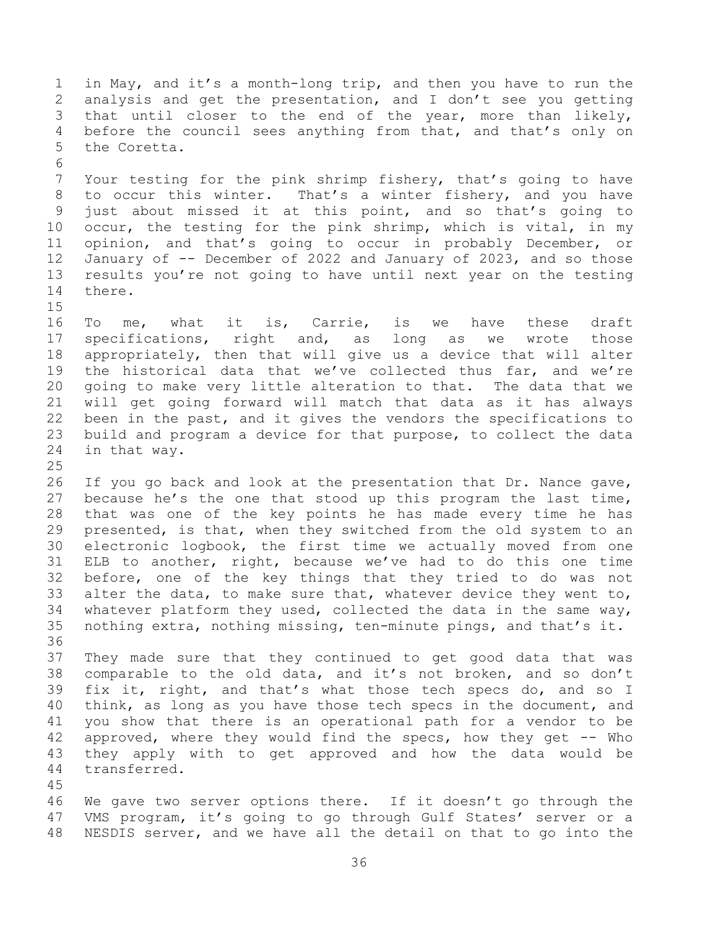in May, and it's a month-long trip, and then you have to run the analysis and get the presentation, and I don't see you getting that until closer to the end of the year, more than likely, before the council sees anything from that, and that's only on the Coretta. Your testing for the pink shrimp fishery, that's going to have to occur this winter. That's a winter fishery, and you have just about missed it at this point, and so that's going to occur, the testing for the pink shrimp, which is vital, in my opinion, and that's going to occur in probably December, or 12 January of -- December of 2022 and January of 2023, and so those results you're not going to have until next year on the testing there. To me, what it is, Carrie, is we have these draft specifications, right and, as long as we wrote those appropriately, then that will give us a device that will alter the historical data that we've collected thus far, and we're going to make very little alteration to that. The data that we will get going forward will match that data as it has always been in the past, and it gives the vendors the specifications to build and program a device for that purpose, to collect the data in that way. 26 If you go back and look at the presentation that Dr. Nance gave, because he's the one that stood up this program the last time, that was one of the key points he has made every time he has presented, is that, when they switched from the old system to an electronic logbook, the first time we actually moved from one ELB to another, right, because we've had to do this one time before, one of the key things that they tried to do was not alter the data, to make sure that, whatever device they went to, whatever platform they used, collected the data in the same way, nothing extra, nothing missing, ten-minute pings, and that's it. They made sure that they continued to get good data that was comparable to the old data, and it's not broken, and so don't fix it, right, and that's what those tech specs do, and so I 40 think, as long as you have those tech specs in the document, and you show that there is an operational path for a vendor to be approved, where they would find the specs, how they get -- Who they apply with to get approved and how the data would be transferred. We gave two server options there. If it doesn't go through the VMS program, it's going to go through Gulf States' server or a NESDIS server, and we have all the detail on that to go into the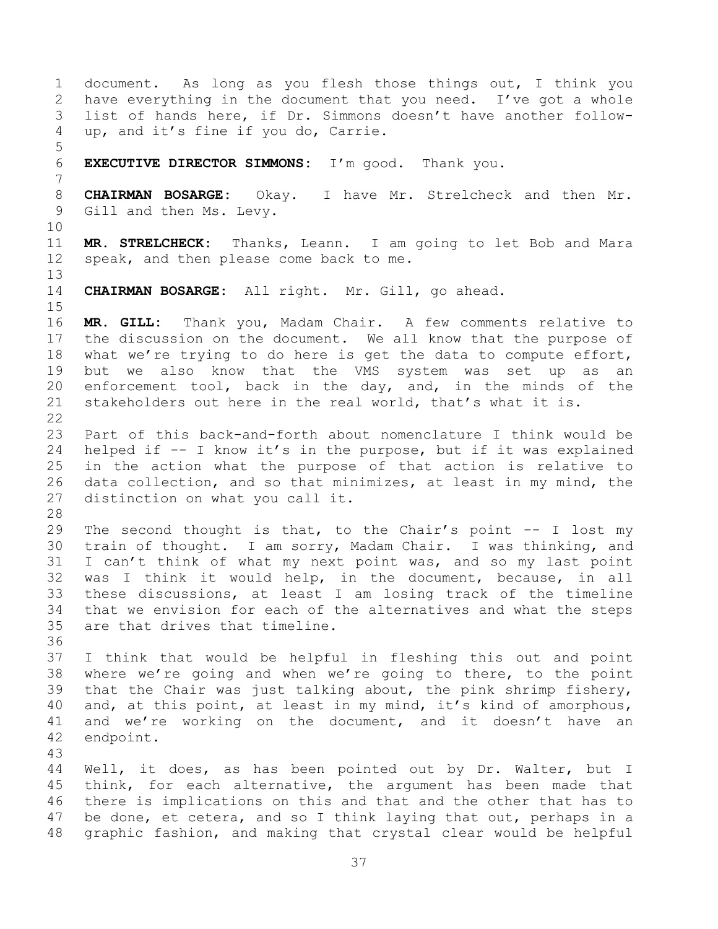document. As long as you flesh those things out, I think you have everything in the document that you need. I've got a whole list of hands here, if Dr. Simmons doesn't have another follow- up, and it's fine if you do, Carrie. **EXECUTIVE DIRECTOR SIMMONS:** I'm good. Thank you. **CHAIRMAN BOSARGE:** Okay. I have Mr. Strelcheck and then Mr. Gill and then Ms. Levy. **MR. STRELCHECK:** Thanks, Leann. I am going to let Bob and Mara 12 speak, and then please come back to me. **CHAIRMAN BOSARGE:** All right. Mr. Gill, go ahead. **MR. GILL:** Thank you, Madam Chair. A few comments relative to the discussion on the document. We all know that the purpose of what we're trying to do here is get the data to compute effort, but we also know that the VMS system was set up as an 20 enforcement tool, back in the day, and, in the minds of the stakeholders out here in the real world, that's what it is. Part of this back-and-forth about nomenclature I think would be helped if -- I know it's in the purpose, but if it was explained in the action what the purpose of that action is relative to data collection, and so that minimizes, at least in my mind, the distinction on what you call it. The second thought is that, to the Chair's point -- I lost my train of thought. I am sorry, Madam Chair. I was thinking, and I can't think of what my next point was, and so my last point was I think it would help, in the document, because, in all these discussions, at least I am losing track of the timeline that we envision for each of the alternatives and what the steps are that drives that timeline. I think that would be helpful in fleshing this out and point where we're going and when we're going to there, to the point that the Chair was just talking about, the pink shrimp fishery, and, at this point, at least in my mind, it's kind of amorphous, and we're working on the document, and it doesn't have an endpoint. Well, it does, as has been pointed out by Dr. Walter, but I think, for each alternative, the argument has been made that there is implications on this and that and the other that has to be done, et cetera, and so I think laying that out, perhaps in a graphic fashion, and making that crystal clear would be helpful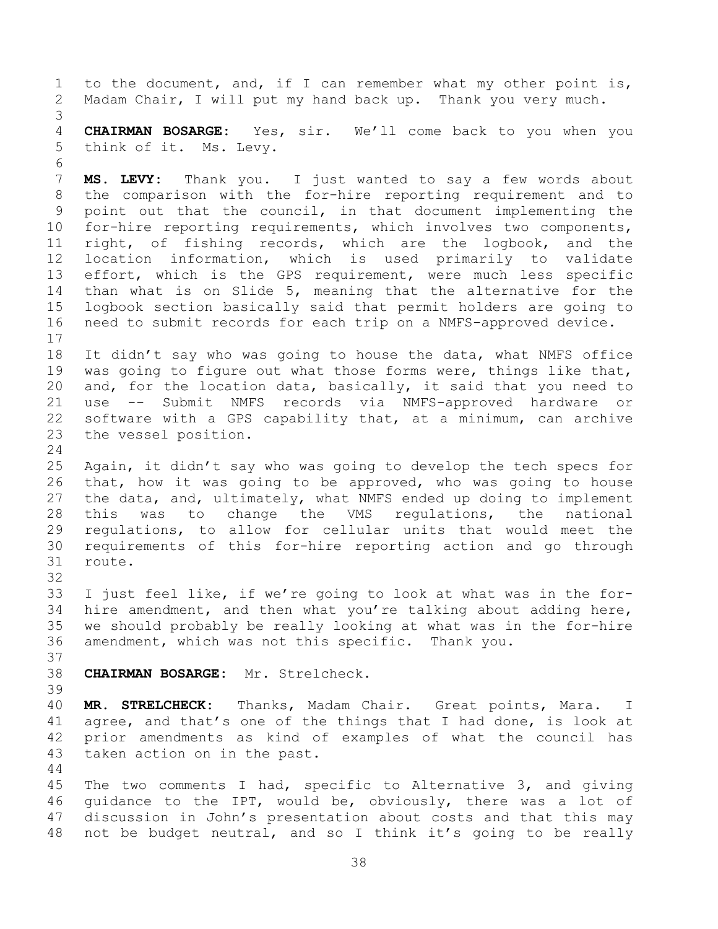to the document, and, if I can remember what my other point is, Madam Chair, I will put my hand back up. Thank you very much. **CHAIRMAN BOSARGE:** Yes, sir. We'll come back to you when you think of it. Ms. Levy. **MS. LEVY:** Thank you. I just wanted to say a few words about the comparison with the for-hire reporting requirement and to point out that the council, in that document implementing the for-hire reporting requirements, which involves two components, right, of fishing records, which are the logbook, and the location information, which is used primarily to validate effort, which is the GPS requirement, were much less specific than what is on Slide 5, meaning that the alternative for the logbook section basically said that permit holders are going to need to submit records for each trip on a NMFS-approved device. It didn't say who was going to house the data, what NMFS office was going to figure out what those forms were, things like that, and, for the location data, basically, it said that you need to use -- Submit NMFS records via NMFS-approved hardware or software with a GPS capability that, at a minimum, can archive the vessel position. Again, it didn't say who was going to develop the tech specs for that, how it was going to be approved, who was going to house the data, and, ultimately, what NMFS ended up doing to implement this was to change the VMS regulations, the national regulations, to allow for cellular units that would meet the requirements of this for-hire reporting action and go through route. I just feel like, if we're going to look at what was in the for- hire amendment, and then what you're talking about adding here, we should probably be really looking at what was in the for-hire amendment, which was not this specific. Thank you. **CHAIRMAN BOSARGE:** Mr. Strelcheck. **MR. STRELCHECK:** Thanks, Madam Chair. Great points, Mara. I agree, and that's one of the things that I had done, is look at prior amendments as kind of examples of what the council has taken action on in the past. The two comments I had, specific to Alternative 3, and giving guidance to the IPT, would be, obviously, there was a lot of discussion in John's presentation about costs and that this may not be budget neutral, and so I think it's going to be really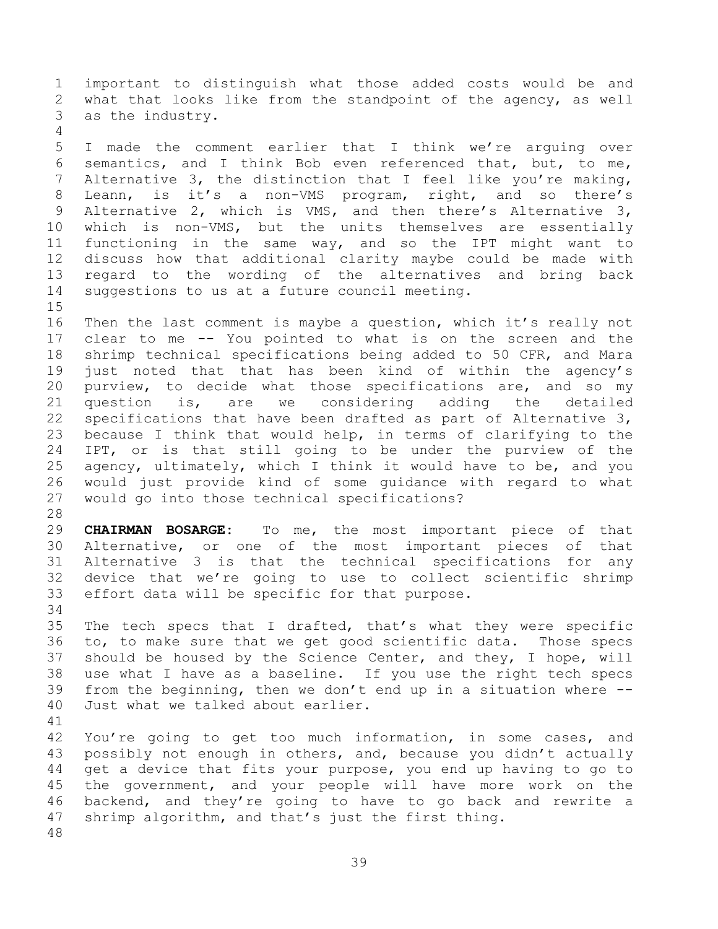important to distinguish what those added costs would be and what that looks like from the standpoint of the agency, as well as the industry. I made the comment earlier that I think we're arguing over semantics, and I think Bob even referenced that, but, to me, Alternative 3, the distinction that I feel like you're making, Leann, is it's a non-VMS program, right, and so there's Alternative 2, which is VMS, and then there's Alternative 3, which is non-VMS, but the units themselves are essentially functioning in the same way, and so the IPT might want to discuss how that additional clarity maybe could be made with regard to the wording of the alternatives and bring back suggestions to us at a future council meeting.

 Then the last comment is maybe a question, which it's really not clear to me -- You pointed to what is on the screen and the shrimp technical specifications being added to 50 CFR, and Mara just noted that that has been kind of within the agency's purview, to decide what those specifications are, and so my question is, are we considering adding the detailed specifications that have been drafted as part of Alternative 3, because I think that would help, in terms of clarifying to the IPT, or is that still going to be under the purview of the agency, ultimately, which I think it would have to be, and you would just provide kind of some guidance with regard to what would go into those technical specifications?

 **CHAIRMAN BOSARGE:** To me, the most important piece of that Alternative, or one of the most important pieces of that Alternative 3 is that the technical specifications for any device that we're going to use to collect scientific shrimp effort data will be specific for that purpose.

 The tech specs that I drafted, that's what they were specific to, to make sure that we get good scientific data. Those specs should be housed by the Science Center, and they, I hope, will use what I have as a baseline. If you use the right tech specs from the beginning, then we don't end up in a situation where -- Just what we talked about earlier.

42 You're going to get too much information, in some cases, and possibly not enough in others, and, because you didn't actually get a device that fits your purpose, you end up having to go to the government, and your people will have more work on the backend, and they're going to have to go back and rewrite a shrimp algorithm, and that's just the first thing.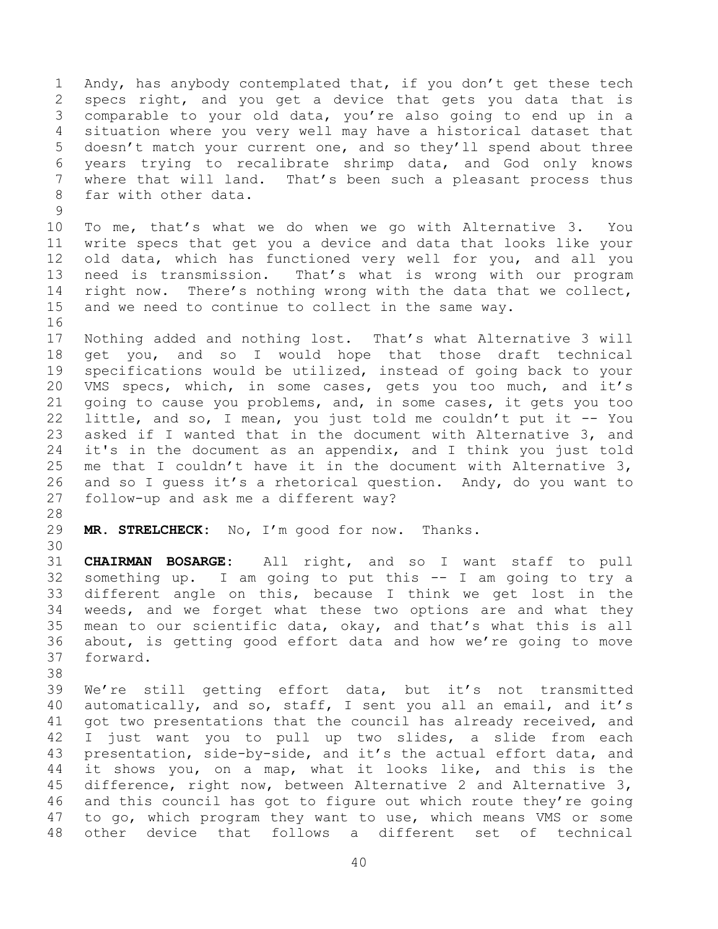Andy, has anybody contemplated that, if you don't get these tech specs right, and you get a device that gets you data that is comparable to your old data, you're also going to end up in a situation where you very well may have a historical dataset that doesn't match your current one, and so they'll spend about three years trying to recalibrate shrimp data, and God only knows where that will land. That's been such a pleasant process thus far with other data.

 To me, that's what we do when we go with Alternative 3. You write specs that get you a device and data that looks like your old data, which has functioned very well for you, and all you need is transmission. That's what is wrong with our program right now. There's nothing wrong with the data that we collect, and we need to continue to collect in the same way.

 Nothing added and nothing lost. That's what Alternative 3 will get you, and so I would hope that those draft technical specifications would be utilized, instead of going back to your VMS specs, which, in some cases, gets you too much, and it's going to cause you problems, and, in some cases, it gets you too little, and so, I mean, you just told me couldn't put it -- You asked if I wanted that in the document with Alternative 3, and it's in the document as an appendix, and I think you just told me that I couldn't have it in the document with Alternative 3, and so I guess it's a rhetorical question. Andy, do you want to follow-up and ask me a different way?

**MR. STRELCHECK:** No, I'm good for now. Thanks.

 **CHAIRMAN BOSARGE:** All right, and so I want staff to pull something up. I am going to put this -- I am going to try a different angle on this, because I think we get lost in the weeds, and we forget what these two options are and what they mean to our scientific data, okay, and that's what this is all about, is getting good effort data and how we're going to move forward.

 We're still getting effort data, but it's not transmitted automatically, and so, staff, I sent you all an email, and it's got two presentations that the council has already received, and I just want you to pull up two slides, a slide from each presentation, side-by-side, and it's the actual effort data, and it shows you, on a map, what it looks like, and this is the difference, right now, between Alternative 2 and Alternative 3, and this council has got to figure out which route they're going to go, which program they want to use, which means VMS or some other device that follows a different set of technical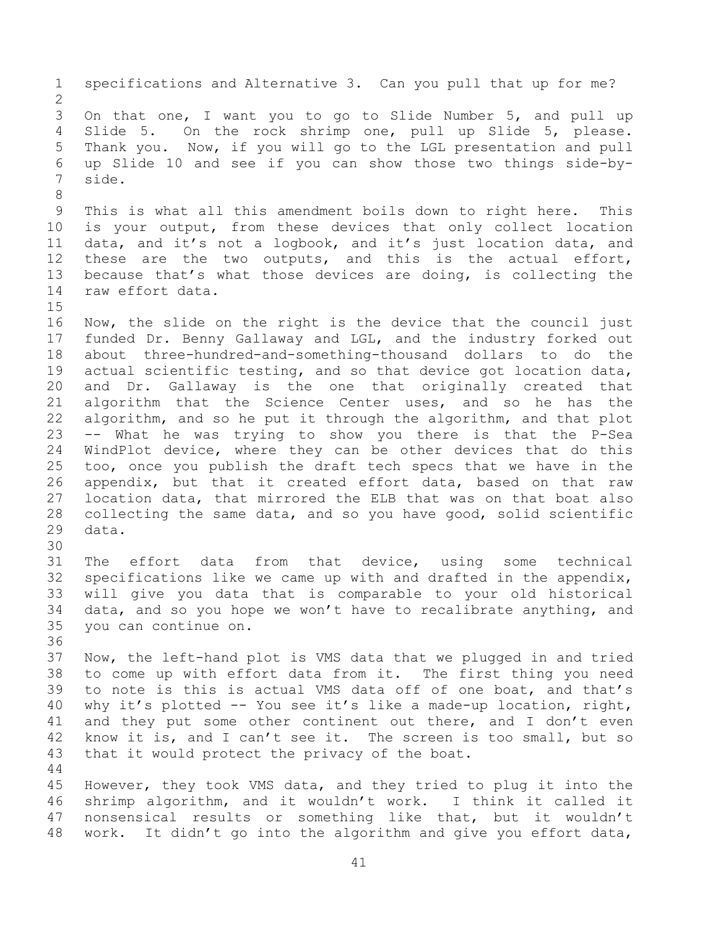specifications and Alternative 3. Can you pull that up for me? On that one, I want you to go to Slide Number 5, and pull up Slide 5. On the rock shrimp one, pull up Slide 5, please. Thank you. Now, if you will go to the LGL presentation and pull up Slide 10 and see if you can show those two things side-by- side. This is what all this amendment boils down to right here. This is your output, from these devices that only collect location data, and it's not a logbook, and it's just location data, and these are the two outputs, and this is the actual effort, because that's what those devices are doing, is collecting the raw effort data. Now, the slide on the right is the device that the council just funded Dr. Benny Gallaway and LGL, and the industry forked out about three-hundred-and-something-thousand dollars to do the actual scientific testing, and so that device got location data, and Dr. Gallaway is the one that originally created that algorithm that the Science Center uses, and so he has the algorithm, and so he put it through the algorithm, and that plot -- What he was trying to show you there is that the P-Sea WindPlot device, where they can be other devices that do this too, once you publish the draft tech specs that we have in the appendix, but that it created effort data, based on that raw location data, that mirrored the ELB that was on that boat also collecting the same data, and so you have good, solid scientific data. The effort data from that device, using some technical specifications like we came up with and drafted in the appendix, will give you data that is comparable to your old historical data, and so you hope we won't have to recalibrate anything, and you can continue on. Now, the left-hand plot is VMS data that we plugged in and tried to come up with effort data from it. The first thing you need to note is this is actual VMS data off of one boat, and that's why it's plotted -- You see it's like a made-up location, right, and they put some other continent out there, and I don't even know it is, and I can't see it. The screen is too small, but so that it would protect the privacy of the boat. However, they took VMS data, and they tried to plug it into the shrimp algorithm, and it wouldn't work. I think it called it nonsensical results or something like that, but it wouldn't work. It didn't go into the algorithm and give you effort data,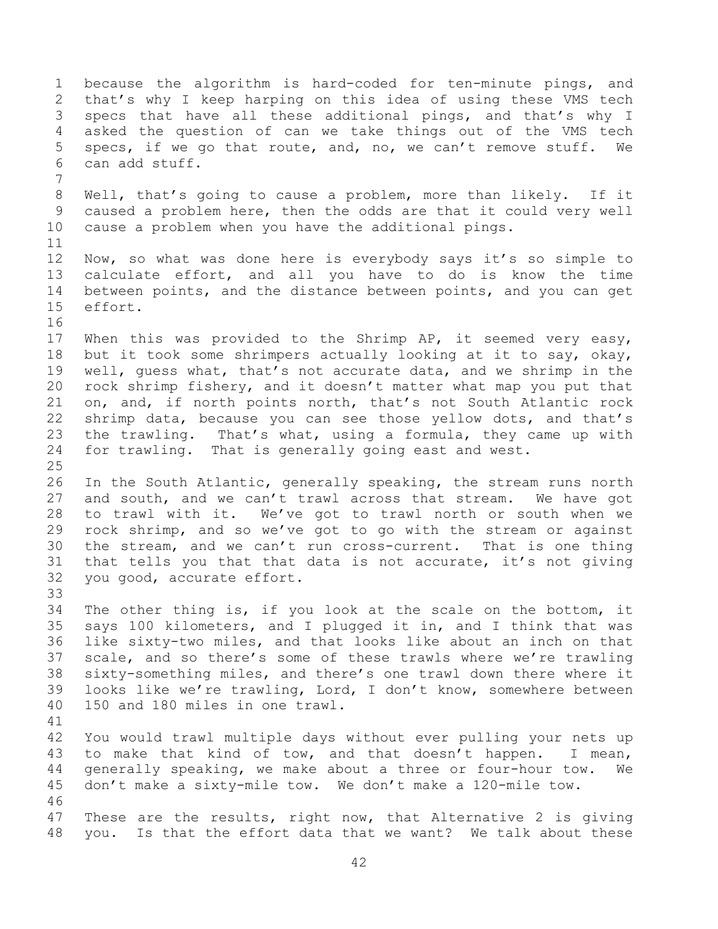because the algorithm is hard-coded for ten-minute pings, and that's why I keep harping on this idea of using these VMS tech specs that have all these additional pings, and that's why I asked the question of can we take things out of the VMS tech specs, if we go that route, and, no, we can't remove stuff. We can add stuff. Well, that's going to cause a problem, more than likely. If it caused a problem here, then the odds are that it could very well cause a problem when you have the additional pings. Now, so what was done here is everybody says it's so simple to calculate effort, and all you have to do is know the time between points, and the distance between points, and you can get effort. When this was provided to the Shrimp AP, it seemed very easy, but it took some shrimpers actually looking at it to say, okay, well, guess what, that's not accurate data, and we shrimp in the rock shrimp fishery, and it doesn't matter what map you put that on, and, if north points north, that's not South Atlantic rock shrimp data, because you can see those yellow dots, and that's the trawling. That's what, using a formula, they came up with for trawling. That is generally going east and west. In the South Atlantic, generally speaking, the stream runs north and south, and we can't trawl across that stream. We have got to trawl with it. We've got to trawl north or south when we rock shrimp, and so we've got to go with the stream or against the stream, and we can't run cross-current. That is one thing that tells you that that data is not accurate, it's not giving you good, accurate effort. The other thing is, if you look at the scale on the bottom, it says 100 kilometers, and I plugged it in, and I think that was like sixty-two miles, and that looks like about an inch on that scale, and so there's some of these trawls where we're trawling sixty-something miles, and there's one trawl down there where it looks like we're trawling, Lord, I don't know, somewhere between 150 and 180 miles in one trawl. You would trawl multiple days without ever pulling your nets up to make that kind of tow, and that doesn't happen. I mean, generally speaking, we make about a three or four-hour tow. We don't make a sixty-mile tow. We don't make a 120-mile tow. These are the results, right now, that Alternative 2 is giving you. Is that the effort data that we want? We talk about these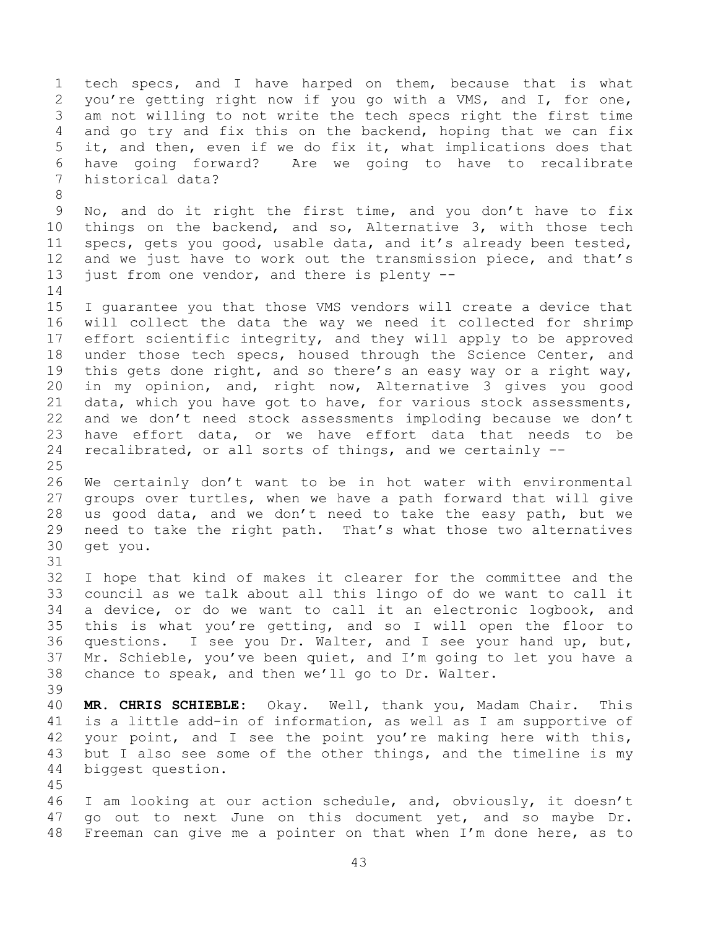tech specs, and I have harped on them, because that is what you're getting right now if you go with a VMS, and I, for one, am not willing to not write the tech specs right the first time and go try and fix this on the backend, hoping that we can fix it, and then, even if we do fix it, what implications does that have going forward? Are we going to have to recalibrate historical data? No, and do it right the first time, and you don't have to fix things on the backend, and so, Alternative 3, with those tech specs, gets you good, usable data, and it's already been tested, and we just have to work out the transmission piece, and that's just from one vendor, and there is plenty -- I guarantee you that those VMS vendors will create a device that will collect the data the way we need it collected for shrimp effort scientific integrity, and they will apply to be approved under those tech specs, housed through the Science Center, and this gets done right, and so there's an easy way or a right way, in my opinion, and, right now, Alternative 3 gives you good 21 data, which you have got to have, for various stock assessments, and we don't need stock assessments imploding because we don't have effort data, or we have effort data that needs to be recalibrated, or all sorts of things, and we certainly -- We certainly don't want to be in hot water with environmental groups over turtles, when we have a path forward that will give us good data, and we don't need to take the easy path, but we need to take the right path. That's what those two alternatives get you. I hope that kind of makes it clearer for the committee and the council as we talk about all this lingo of do we want to call it a device, or do we want to call it an electronic logbook, and this is what you're getting, and so I will open the floor to questions. I see you Dr. Walter, and I see your hand up, but, Mr. Schieble, you've been quiet, and I'm going to let you have a chance to speak, and then we'll go to Dr. Walter. **MR. CHRIS SCHIEBLE:** Okay. Well, thank you, Madam Chair. This is a little add-in of information, as well as I am supportive of your point, and I see the point you're making here with this, 43 but I also see some of the other things, and the timeline is my biggest question. I am looking at our action schedule, and, obviously, it doesn't go out to next June on this document yet, and so maybe Dr. Freeman can give me a pointer on that when I'm done here, as to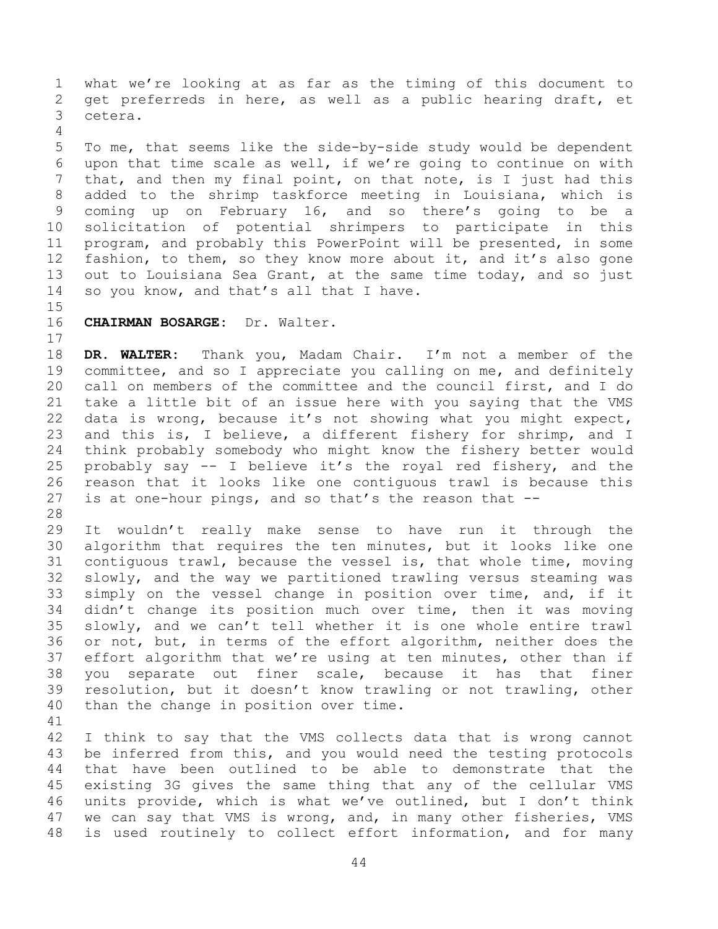what we're looking at as far as the timing of this document to get preferreds in here, as well as a public hearing draft, et cetera.

 To me, that seems like the side-by-side study would be dependent upon that time scale as well, if we're going to continue on with that, and then my final point, on that note, is I just had this added to the shrimp taskforce meeting in Louisiana, which is coming up on February 16, and so there's going to be a solicitation of potential shrimpers to participate in this program, and probably this PowerPoint will be presented, in some fashion, to them, so they know more about it, and it's also gone out to Louisiana Sea Grant, at the same time today, and so just 14 so you know, and that's all that I have.

## 

**CHAIRMAN BOSARGE:** Dr. Walter.

 **DR. WALTER:** Thank you, Madam Chair. I'm not a member of the committee, and so I appreciate you calling on me, and definitely call on members of the committee and the council first, and I do take a little bit of an issue here with you saying that the VMS data is wrong, because it's not showing what you might expect, and this is, I believe, a different fishery for shrimp, and I think probably somebody who might know the fishery better would probably say -- I believe it's the royal red fishery, and the reason that it looks like one contiguous trawl is because this is at one-hour pings, and so that's the reason that --

 It wouldn't really make sense to have run it through the algorithm that requires the ten minutes, but it looks like one contiguous trawl, because the vessel is, that whole time, moving slowly, and the way we partitioned trawling versus steaming was simply on the vessel change in position over time, and, if it didn't change its position much over time, then it was moving slowly, and we can't tell whether it is one whole entire trawl or not, but, in terms of the effort algorithm, neither does the effort algorithm that we're using at ten minutes, other than if you separate out finer scale, because it has that finer resolution, but it doesn't know trawling or not trawling, other than the change in position over time.

 I think to say that the VMS collects data that is wrong cannot be inferred from this, and you would need the testing protocols that have been outlined to be able to demonstrate that the existing 3G gives the same thing that any of the cellular VMS units provide, which is what we've outlined, but I don't think we can say that VMS is wrong, and, in many other fisheries, VMS is used routinely to collect effort information, and for many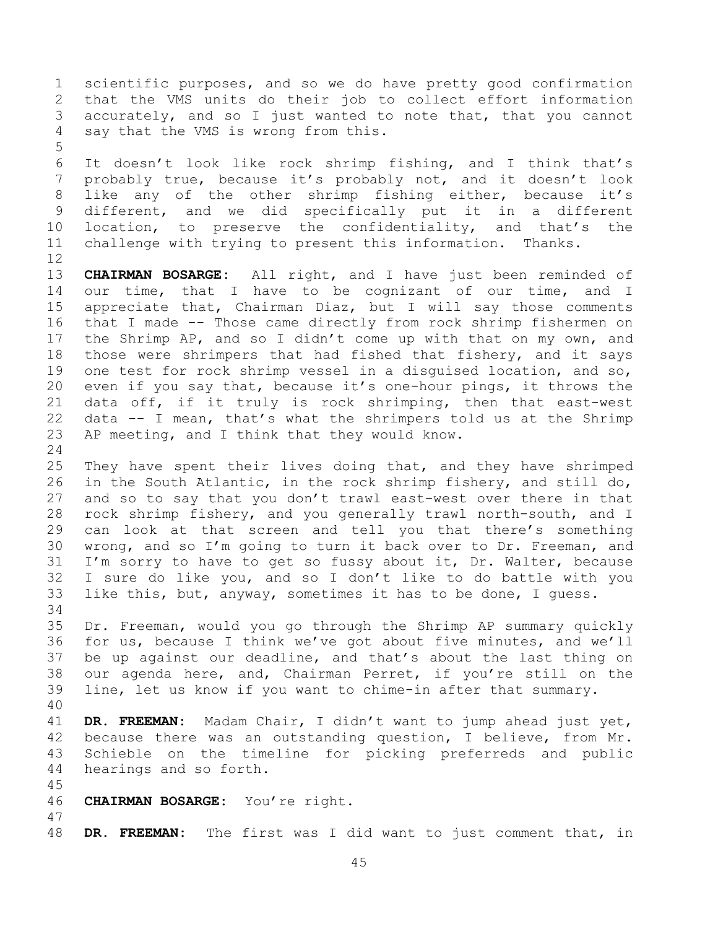scientific purposes, and so we do have pretty good confirmation that the VMS units do their job to collect effort information accurately, and so I just wanted to note that, that you cannot say that the VMS is wrong from this. It doesn't look like rock shrimp fishing, and I think that's probably true, because it's probably not, and it doesn't look like any of the other shrimp fishing either, because it's different, and we did specifically put it in a different location, to preserve the confidentiality, and that's the challenge with trying to present this information. Thanks. **CHAIRMAN BOSARGE:** All right, and I have just been reminded of our time, that I have to be cognizant of our time, and I appreciate that, Chairman Diaz, but I will say those comments that I made -- Those came directly from rock shrimp fishermen on the Shrimp AP, and so I didn't come up with that on my own, and those were shrimpers that had fished that fishery, and it says one test for rock shrimp vessel in a disguised location, and so, even if you say that, because it's one-hour pings, it throws the data off, if it truly is rock shrimping, then that east-west data -- I mean, that's what the shrimpers told us at the Shrimp AP meeting, and I think that they would know. They have spent their lives doing that, and they have shrimped in the South Atlantic, in the rock shrimp fishery, and still do, and so to say that you don't trawl east-west over there in that rock shrimp fishery, and you generally trawl north-south, and I can look at that screen and tell you that there's something wrong, and so I'm going to turn it back over to Dr. Freeman, and I'm sorry to have to get so fussy about it, Dr. Walter, because I sure do like you, and so I don't like to do battle with you like this, but, anyway, sometimes it has to be done, I guess. Dr. Freeman, would you go through the Shrimp AP summary quickly for us, because I think we've got about five minutes, and we'll be up against our deadline, and that's about the last thing on our agenda here, and, Chairman Perret, if you're still on the line, let us know if you want to chime-in after that summary. **DR. FREEMAN:** Madam Chair, I didn't want to jump ahead just yet, because there was an outstanding question, I believe, from Mr. Schieble on the timeline for picking preferreds and public hearings and so forth. **CHAIRMAN BOSARGE:** You're right. **DR. FREEMAN:** The first was I did want to just comment that, in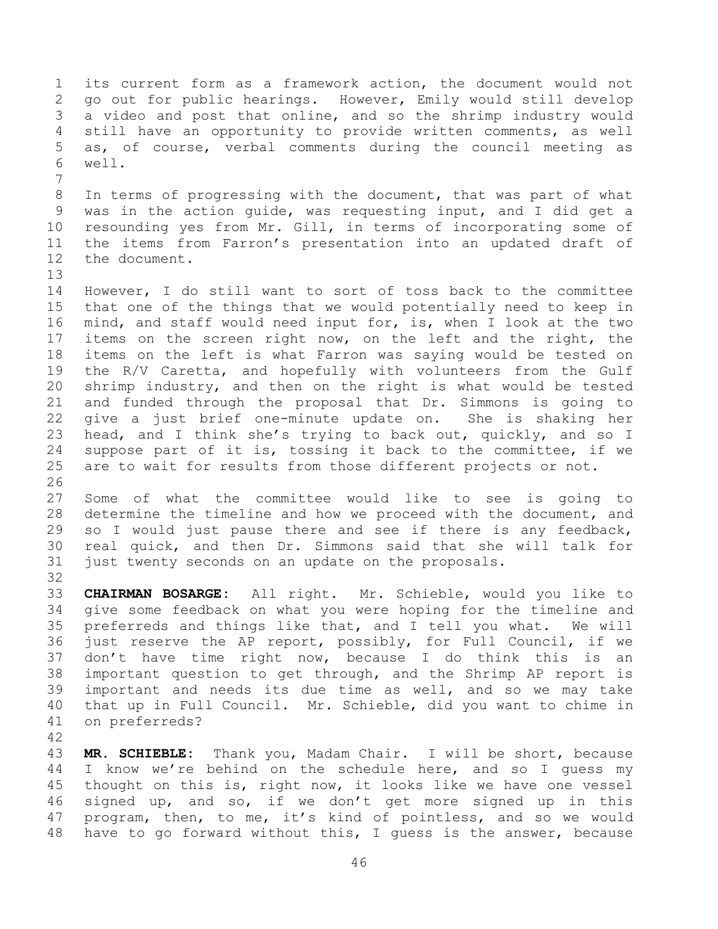its current form as a framework action, the document would not go out for public hearings. However, Emily would still develop a video and post that online, and so the shrimp industry would still have an opportunity to provide written comments, as well as, of course, verbal comments during the council meeting as well. 

 In terms of progressing with the document, that was part of what was in the action guide, was requesting input, and I did get a resounding yes from Mr. Gill, in terms of incorporating some of the items from Farron's presentation into an updated draft of the document.

 However, I do still want to sort of toss back to the committee that one of the things that we would potentially need to keep in mind, and staff would need input for, is, when I look at the two items on the screen right now, on the left and the right, the items on the left is what Farron was saying would be tested on the R/V Caretta, and hopefully with volunteers from the Gulf shrimp industry, and then on the right is what would be tested and funded through the proposal that Dr. Simmons is going to give a just brief one-minute update on. She is shaking her head, and I think she's trying to back out, quickly, and so I suppose part of it is, tossing it back to the committee, if we are to wait for results from those different projects or not. 

 Some of what the committee would like to see is going to determine the timeline and how we proceed with the document, and so I would just pause there and see if there is any feedback, real quick, and then Dr. Simmons said that she will talk for just twenty seconds on an update on the proposals.

 **CHAIRMAN BOSARGE:** All right. Mr. Schieble, would you like to give some feedback on what you were hoping for the timeline and preferreds and things like that, and I tell you what. We will just reserve the AP report, possibly, for Full Council, if we don't have time right now, because I do think this is an important question to get through, and the Shrimp AP report is important and needs its due time as well, and so we may take that up in Full Council. Mr. Schieble, did you want to chime in on preferreds?

 **MR. SCHIEBLE:** Thank you, Madam Chair. I will be short, because I know we're behind on the schedule here, and so I guess my thought on this is, right now, it looks like we have one vessel signed up, and so, if we don't get more signed up in this program, then, to me, it's kind of pointless, and so we would have to go forward without this, I guess is the answer, because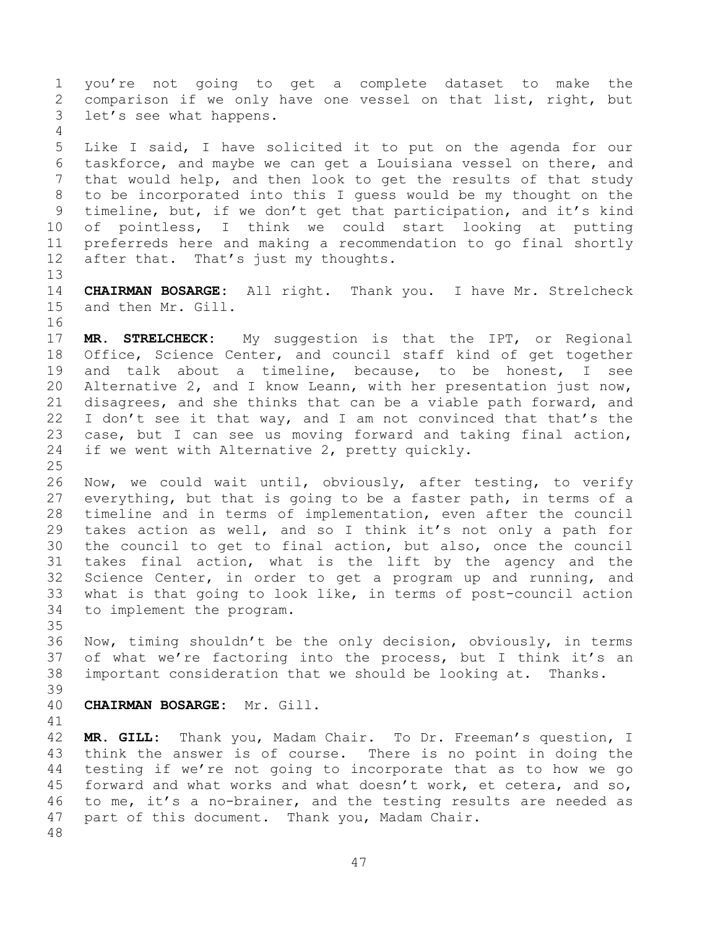you're not going to get a complete dataset to make the comparison if we only have one vessel on that list, right, but let's see what happens. Like I said, I have solicited it to put on the agenda for our taskforce, and maybe we can get a Louisiana vessel on there, and that would help, and then look to get the results of that study to be incorporated into this I guess would be my thought on the timeline, but, if we don't get that participation, and it's kind of pointless, I think we could start looking at putting preferreds here and making a recommendation to go final shortly 12 after that. That's just my thoughts. **CHAIRMAN BOSARGE:** All right. Thank you. I have Mr. Strelcheck and then Mr. Gill. **MR. STRELCHECK:** My suggestion is that the IPT, or Regional Office, Science Center, and council staff kind of get together and talk about a timeline, because, to be honest, I see Alternative 2, and I know Leann, with her presentation just now, disagrees, and she thinks that can be a viable path forward, and 22 I don't see it that way, and I am not convinced that that's the case, but I can see us moving forward and taking final action, if we went with Alternative 2, pretty quickly. Now, we could wait until, obviously, after testing, to verify everything, but that is going to be a faster path, in terms of a timeline and in terms of implementation, even after the council takes action as well, and so I think it's not only a path for the council to get to final action, but also, once the council takes final action, what is the lift by the agency and the Science Center, in order to get a program up and running, and what is that going to look like, in terms of post-council action to implement the program. Now, timing shouldn't be the only decision, obviously, in terms of what we're factoring into the process, but I think it's an important consideration that we should be looking at. Thanks. **CHAIRMAN BOSARGE:** Mr. Gill. **MR. GILL:** Thank you, Madam Chair. To Dr. Freeman's question, I think the answer is of course. There is no point in doing the testing if we're not going to incorporate that as to how we go forward and what works and what doesn't work, et cetera, and so, to me, it's a no-brainer, and the testing results are needed as part of this document. Thank you, Madam Chair.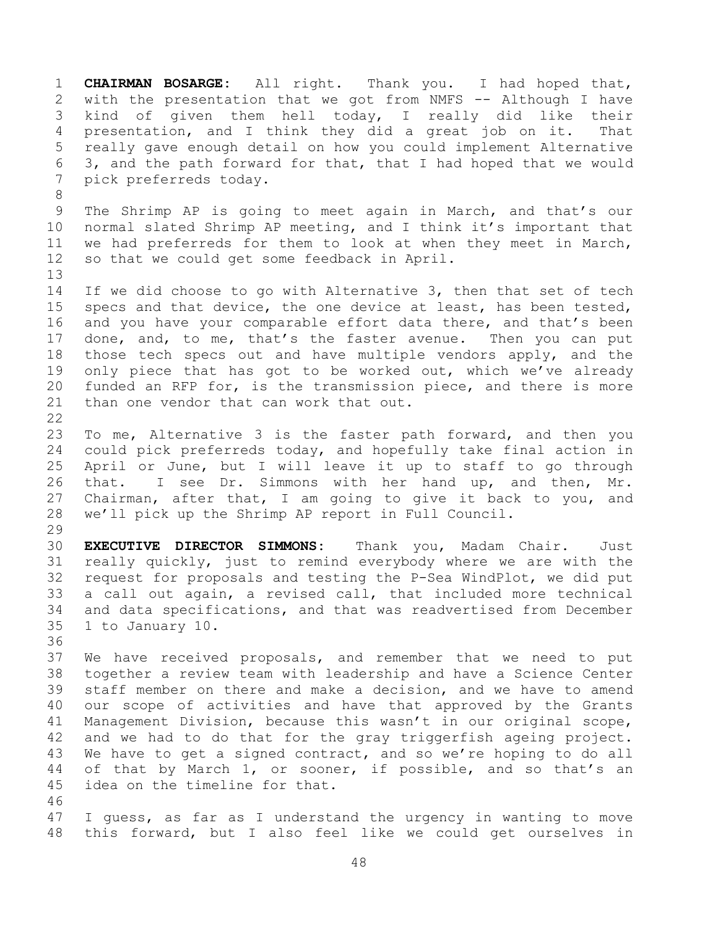**CHAIRMAN BOSARGE:** All right. Thank you. I had hoped that, with the presentation that we got from NMFS -- Although I have kind of given them hell today, I really did like their presentation, and I think they did a great job on it. That really gave enough detail on how you could implement Alternative 3, and the path forward for that, that I had hoped that we would pick preferreds today. The Shrimp AP is going to meet again in March, and that's our normal slated Shrimp AP meeting, and I think it's important that we had preferreds for them to look at when they meet in March, so that we could get some feedback in April. If we did choose to go with Alternative 3, then that set of tech 15 specs and that device, the one device at least, has been tested, 16 and you have your comparable effort data there, and that's been 17 done, and, to me, that's the faster avenue. Then you can put those tech specs out and have multiple vendors apply, and the only piece that has got to be worked out, which we've already funded an RFP for, is the transmission piece, and there is more than one vendor that can work that out. To me, Alternative 3 is the faster path forward, and then you could pick preferreds today, and hopefully take final action in April or June, but I will leave it up to staff to go through that. I see Dr. Simmons with her hand up, and then, Mr. Chairman, after that, I am going to give it back to you, and we'll pick up the Shrimp AP report in Full Council. **EXECUTIVE DIRECTOR SIMMONS:** Thank you, Madam Chair. Just really quickly, just to remind everybody where we are with the request for proposals and testing the P-Sea WindPlot, we did put a call out again, a revised call, that included more technical and data specifications, and that was readvertised from December 1 to January 10. We have received proposals, and remember that we need to put together a review team with leadership and have a Science Center staff member on there and make a decision, and we have to amend our scope of activities and have that approved by the Grants Management Division, because this wasn't in our original scope, and we had to do that for the gray triggerfish ageing project. We have to get a signed contract, and so we're hoping to do all 44 of that by March 1, or sooner, if possible, and so that's an idea on the timeline for that. I guess, as far as I understand the urgency in wanting to move this forward, but I also feel like we could get ourselves in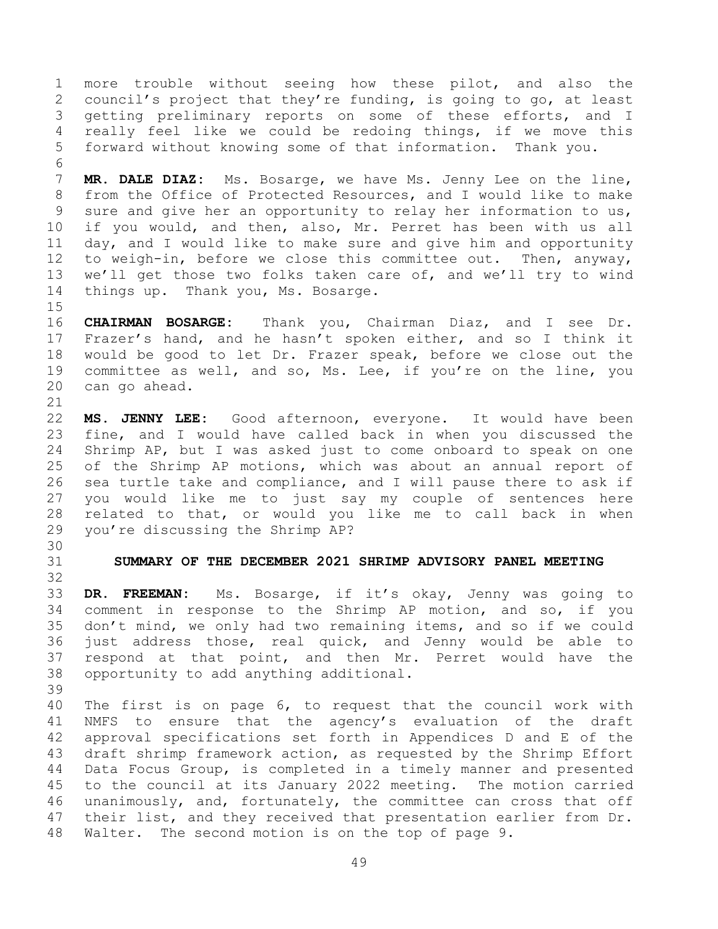more trouble without seeing how these pilot, and also the council's project that they're funding, is going to go, at least getting preliminary reports on some of these efforts, and I really feel like we could be redoing things, if we move this forward without knowing some of that information. Thank you. 

 **MR. DALE DIAZ:** Ms. Bosarge, we have Ms. Jenny Lee on the line, from the Office of Protected Resources, and I would like to make sure and give her an opportunity to relay her information to us, if you would, and then, also, Mr. Perret has been with us all day, and I would like to make sure and give him and opportunity to weigh-in, before we close this committee out. Then, anyway, we'll get those two folks taken care of, and we'll try to wind things up. Thank you, Ms. Bosarge.

 **CHAIRMAN BOSARGE:** Thank you, Chairman Diaz, and I see Dr. Frazer's hand, and he hasn't spoken either, and so I think it would be good to let Dr. Frazer speak, before we close out the committee as well, and so, Ms. Lee, if you're on the line, you can go ahead.

 **MS. JENNY LEE:** Good afternoon, everyone. It would have been fine, and I would have called back in when you discussed the Shrimp AP, but I was asked just to come onboard to speak on one of the Shrimp AP motions, which was about an annual report of sea turtle take and compliance, and I will pause there to ask if you would like me to just say my couple of sentences here related to that, or would you like me to call back in when you're discussing the Shrimp AP?

## <span id="page-48-0"></span>**SUMMARY OF THE DECEMBER 2021 SHRIMP ADVISORY PANEL MEETING**

 **DR. FREEMAN:** Ms. Bosarge, if it's okay, Jenny was going to comment in response to the Shrimp AP motion, and so, if you don't mind, we only had two remaining items, and so if we could just address those, real quick, and Jenny would be able to respond at that point, and then Mr. Perret would have the opportunity to add anything additional.

 The first is on page 6, to request that the council work with NMFS to ensure that the agency's evaluation of the draft approval specifications set forth in Appendices D and E of the draft shrimp framework action, as requested by the Shrimp Effort Data Focus Group, is completed in a timely manner and presented to the council at its January 2022 meeting. The motion carried unanimously, and, fortunately, the committee can cross that off their list, and they received that presentation earlier from Dr. Walter. The second motion is on the top of page 9.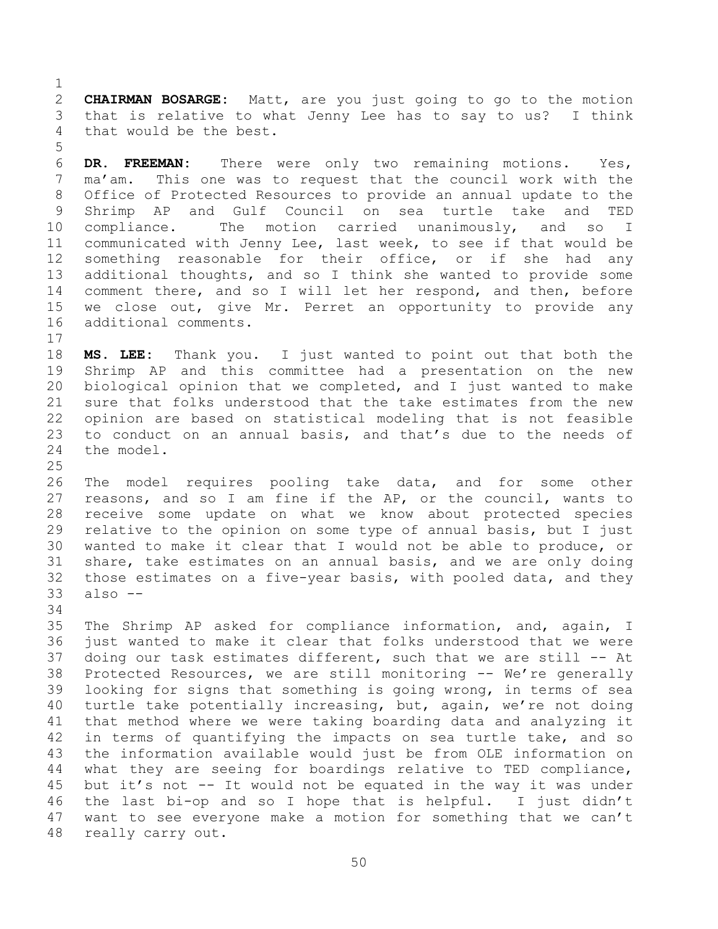**CHAIRMAN BOSARGE:** Matt, are you just going to go to the motion that is relative to what Jenny Lee has to say to us? I think that would be the best.

 **DR. FREEMAN:** There were only two remaining motions. Yes, ma'am. This one was to request that the council work with the Office of Protected Resources to provide an annual update to the Shrimp AP and Gulf Council on sea turtle take and TED compliance. The motion carried unanimously, and so I communicated with Jenny Lee, last week, to see if that would be something reasonable for their office, or if she had any additional thoughts, and so I think she wanted to provide some comment there, and so I will let her respond, and then, before we close out, give Mr. Perret an opportunity to provide any additional comments.

 **MS. LEE:** Thank you. I just wanted to point out that both the Shrimp AP and this committee had a presentation on the new biological opinion that we completed, and I just wanted to make sure that folks understood that the take estimates from the new opinion are based on statistical modeling that is not feasible to conduct on an annual basis, and that's due to the needs of the model.

 The model requires pooling take data, and for some other reasons, and so I am fine if the AP, or the council, wants to receive some update on what we know about protected species relative to the opinion on some type of annual basis, but I just wanted to make it clear that I would not be able to produce, or share, take estimates on an annual basis, and we are only doing those estimates on a five-year basis, with pooled data, and they also --

 The Shrimp AP asked for compliance information, and, again, I just wanted to make it clear that folks understood that we were doing our task estimates different, such that we are still -- At Protected Resources, we are still monitoring -- We're generally looking for signs that something is going wrong, in terms of sea turtle take potentially increasing, but, again, we're not doing that method where we were taking boarding data and analyzing it in terms of quantifying the impacts on sea turtle take, and so the information available would just be from OLE information on what they are seeing for boardings relative to TED compliance, but it's not -- It would not be equated in the way it was under the last bi-op and so I hope that is helpful. I just didn't want to see everyone make a motion for something that we can't really carry out.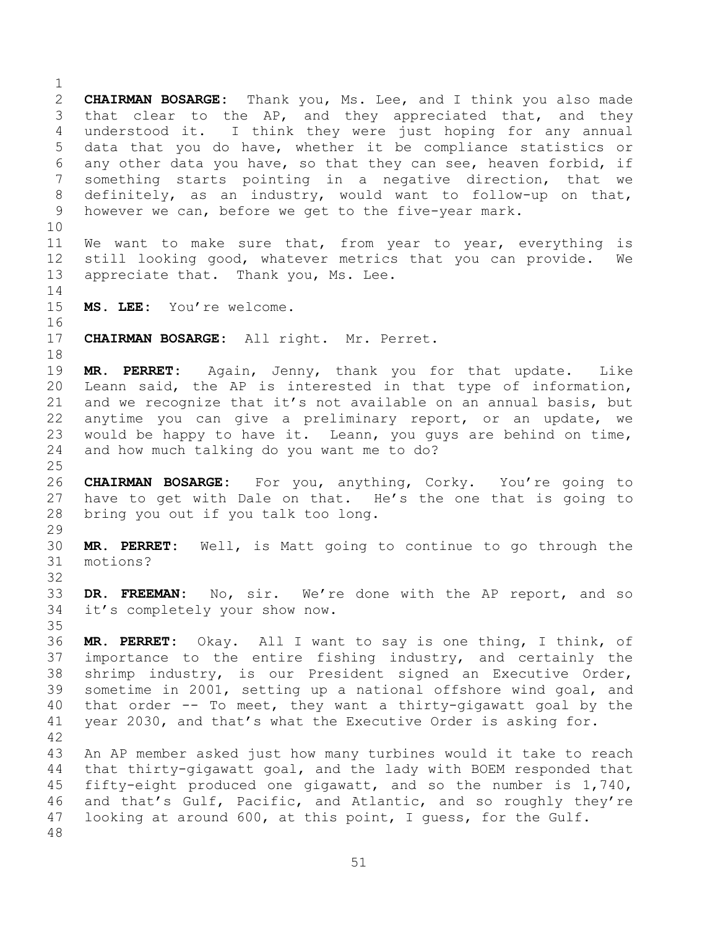**CHAIRMAN BOSARGE:** Thank you, Ms. Lee, and I think you also made that clear to the AP, and they appreciated that, and they understood it. I think they were just hoping for any annual data that you do have, whether it be compliance statistics or any other data you have, so that they can see, heaven forbid, if something starts pointing in a negative direction, that we definitely, as an industry, would want to follow-up on that, however we can, before we get to the five-year mark. We want to make sure that, from year to year, everything is still looking good, whatever metrics that you can provide. We 13 appreciate that. Thank you, Ms. Lee. **MS. LEE:** You're welcome. **CHAIRMAN BOSARGE:** All right. Mr. Perret. **MR. PERRET:** Again, Jenny, thank you for that update. Like Leann said, the AP is interested in that type of information, and we recognize that it's not available on an annual basis, but anytime you can give a preliminary report, or an update, we would be happy to have it. Leann, you guys are behind on time, and how much talking do you want me to do? **CHAIRMAN BOSARGE:** For you, anything, Corky. You're going to have to get with Dale on that. He's the one that is going to bring you out if you talk too long. **MR. PERRET:** Well, is Matt going to continue to go through the motions? **DR. FREEMAN:** No, sir. We're done with the AP report, and so it's completely your show now. **MR. PERRET:** Okay. All I want to say is one thing, I think, of importance to the entire fishing industry, and certainly the shrimp industry, is our President signed an Executive Order, sometime in 2001, setting up a national offshore wind goal, and that order -- To meet, they want a thirty-gigawatt goal by the year 2030, and that's what the Executive Order is asking for. An AP member asked just how many turbines would it take to reach that thirty-gigawatt goal, and the lady with BOEM responded that fifty-eight produced one gigawatt, and so the number is 1,740, and that's Gulf, Pacific, and Atlantic, and so roughly they're looking at around 600, at this point, I guess, for the Gulf.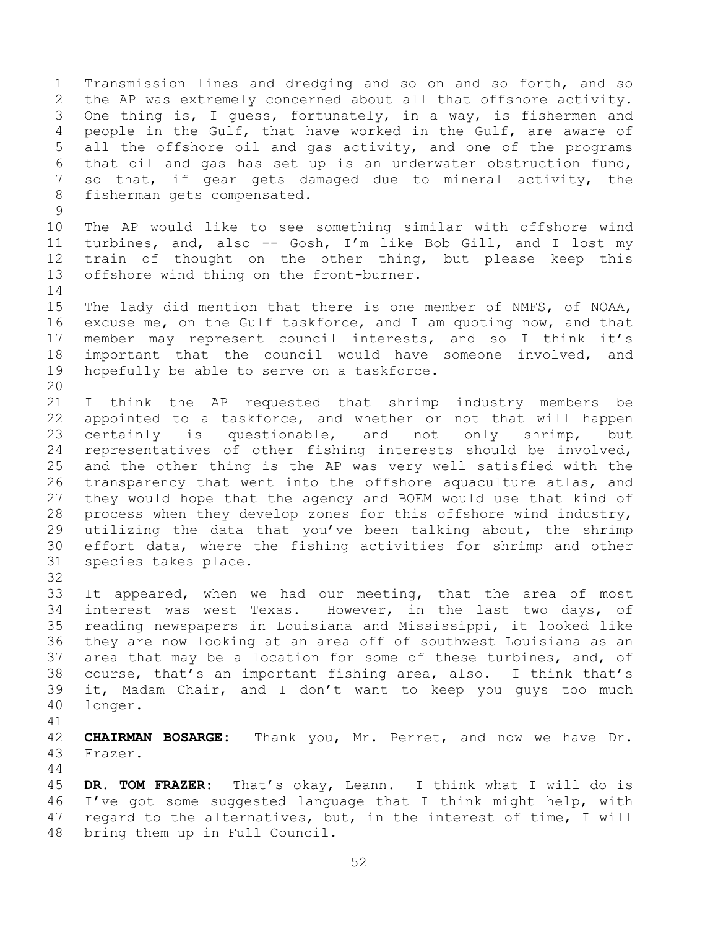Transmission lines and dredging and so on and so forth, and so the AP was extremely concerned about all that offshore activity. One thing is, I guess, fortunately, in a way, is fishermen and people in the Gulf, that have worked in the Gulf, are aware of all the offshore oil and gas activity, and one of the programs that oil and gas has set up is an underwater obstruction fund, so that, if gear gets damaged due to mineral activity, the fisherman gets compensated. 

 The AP would like to see something similar with offshore wind turbines, and, also -- Gosh, I'm like Bob Gill, and I lost my train of thought on the other thing, but please keep this offshore wind thing on the front-burner.

 The lady did mention that there is one member of NMFS, of NOAA, excuse me, on the Gulf taskforce, and I am quoting now, and that member may represent council interests, and so I think it's important that the council would have someone involved, and hopefully be able to serve on a taskforce. 

 I think the AP requested that shrimp industry members be appointed to a taskforce, and whether or not that will happen certainly is questionable, and not only shrimp, but representatives of other fishing interests should be involved, and the other thing is the AP was very well satisfied with the transparency that went into the offshore aquaculture atlas, and they would hope that the agency and BOEM would use that kind of process when they develop zones for this offshore wind industry, utilizing the data that you've been talking about, the shrimp effort data, where the fishing activities for shrimp and other species takes place.

 It appeared, when we had our meeting, that the area of most interest was west Texas. However, in the last two days, of reading newspapers in Louisiana and Mississippi, it looked like they are now looking at an area off of southwest Louisiana as an area that may be a location for some of these turbines, and, of course, that's an important fishing area, also. I think that's it, Madam Chair, and I don't want to keep you guys too much longer.

 **CHAIRMAN BOSARGE:** Thank you, Mr. Perret, and now we have Dr. Frazer.

 **DR. TOM FRAZER:** That's okay, Leann. I think what I will do is I've got some suggested language that I think might help, with regard to the alternatives, but, in the interest of time, I will bring them up in Full Council.